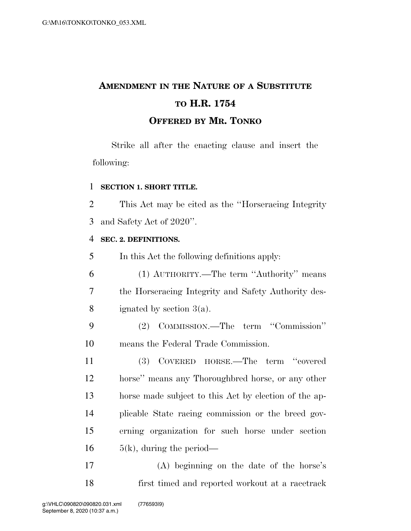# **AMENDMENT IN THE NATURE OF A SUBSTITUTE TO H.R. 1754 OFFERED BY MR. TONKO**

Strike all after the enacting clause and insert the following:

### **SECTION 1. SHORT TITLE.**

 This Act may be cited as the ''Horseracing Integrity and Safety Act of 2020''.

### **SEC. 2. DEFINITIONS.**

In this Act the following definitions apply:

 (1) AUTHORITY.—The term ''Authority'' means the Horseracing Integrity and Safety Authority des-ignated by section 3(a).

 (2) COMMISSION.—The term ''Commission'' means the Federal Trade Commission.

 (3) COVERED HORSE.—The term ''covered horse'' means any Thoroughbred horse, or any other horse made subject to this Act by election of the ap- plicable State racing commission or the breed gov- erning organization for such horse under section  $5(k)$ , during the period—

 (A) beginning on the date of the horse's first timed and reported workout at a racetrack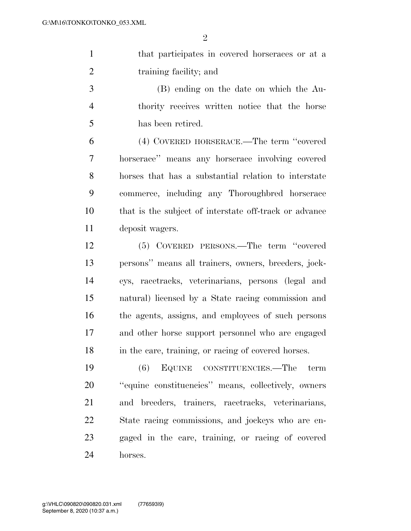that participates in covered horseraces or at a 2 training facility; and

 (B) ending on the date on which the Au- thority receives written notice that the horse has been retired.

 (4) COVERED HORSERACE.—The term ''covered horserace'' means any horserace involving covered horses that has a substantial relation to interstate commerce, including any Thoroughbred horserace that is the subject of interstate off-track or advance deposit wagers.

 (5) COVERED PERSONS.—The term ''covered persons'' means all trainers, owners, breeders, jock- eys, racetracks, veterinarians, persons (legal and natural) licensed by a State racing commission and the agents, assigns, and employees of such persons and other horse support personnel who are engaged in the care, training, or racing of covered horses.

 (6) EQUINE CONSTITUENCIES.—The term ''equine constituencies'' means, collectively, owners and breeders, trainers, racetracks, veterinarians, State racing commissions, and jockeys who are en- gaged in the care, training, or racing of covered horses.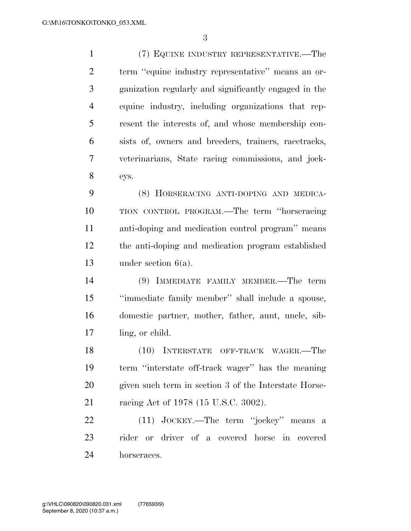(7) EQUINE INDUSTRY REPRESENTATIVE.—The term ''equine industry representative'' means an or- ganization regularly and significantly engaged in the equine industry, including organizations that rep- resent the interests of, and whose membership con- sists of, owners and breeders, trainers, racetracks, veterinarians, State racing commissions, and jock-eys.

 (8) HORSERACING ANTI-DOPING AND MEDICA- TION CONTROL PROGRAM.—The term ''horseracing anti-doping and medication control program'' means the anti-doping and medication program established under section 6(a).

 (9) IMMEDIATE FAMILY MEMBER.—The term ''immediate family member'' shall include a spouse, domestic partner, mother, father, aunt, uncle, sib-ling, or child.

 (10) INTERSTATE OFF-TRACK WAGER.—The term ''interstate off-track wager'' has the meaning given such term in section 3 of the Interstate Horse-racing Act of 1978 (15 U.S.C. 3002).

 (11) JOCKEY.—The term ''jockey'' means a rider or driver of a covered horse in covered horseraces.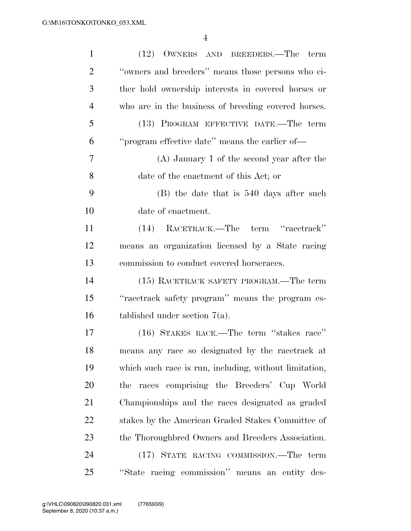| $\mathbf{1}$   | (12) OWNERS AND BREEDERS.—The term                     |
|----------------|--------------------------------------------------------|
| $\overline{2}$ | "owners and breeders" means those persons who ei-      |
| 3              | ther hold ownership interests in covered horses or     |
| $\overline{4}$ | who are in the business of breeding covered horses.    |
| 5              | (13) PROGRAM EFFECTIVE DATE.—The term                  |
| 6              | "program effective date" means the earlier of-         |
| 7              | $(A)$ January 1 of the second year after the           |
| 8              | date of the enactment of this Act; or                  |
| 9              | (B) the date that is 540 days after such               |
| 10             | date of enactment.                                     |
| 11             | (14) RACETRACK.—The term "racetrack"                   |
| 12             | means an organization licensed by a State racing       |
| 13             | commission to conduct covered horseraces.              |
| 14             | (15) RACETRACK SAFETY PROGRAM.—The term                |
| 15             | "racetrack safety program" means the program es-       |
| 16             | tablished under section $7(a)$ .                       |
| 17             | (16) STAKES RACE.—The term "stakes race"               |
| 18             | means any race so designated by the racetrack at       |
| 19             | which such race is run, including, without limitation, |
| 20             | races comprising the Breeders' Cup World<br>the        |
| 21             | Championships and the races designated as graded       |
| 22             | stakes by the American Graded Stakes Committee of      |
| 23             | the Thoroughbred Owners and Breeders Association.      |
| 24             | (17) STATE RACING COMMISSION.—The term                 |
| 25             | "State racing commission" means an entity des-         |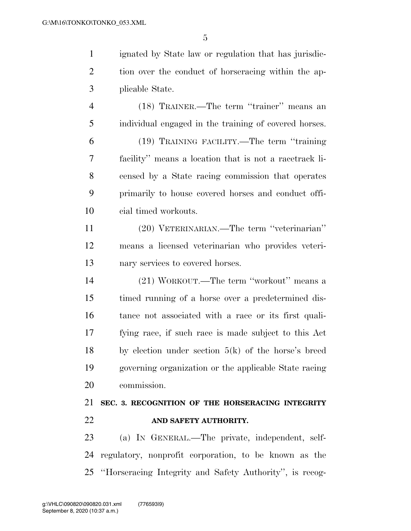ignated by State law or regulation that has jurisdic- tion over the conduct of horseracing within the ap-plicable State.

 (18) TRAINER.—The term ''trainer'' means an individual engaged in the training of covered horses.

 (19) TRAINING FACILITY.—The term ''training facility'' means a location that is not a racetrack li- censed by a State racing commission that operates primarily to house covered horses and conduct offi-cial timed workouts.

 (20) VETERINARIAN.—The term ''veterinarian'' means a licensed veterinarian who provides veteri-nary services to covered horses.

 (21) WORKOUT.—The term ''workout'' means a timed running of a horse over a predetermined dis- tance not associated with a race or its first quali- fying race, if such race is made subject to this Act 18 by election under section  $5(k)$  of the horse's breed governing organization or the applicable State racing commission.

# **SEC. 3. RECOGNITION OF THE HORSERACING INTEGRITY AND SAFETY AUTHORITY.**

 (a) IN GENERAL.—The private, independent, self- regulatory, nonprofit corporation, to be known as the ''Horseracing Integrity and Safety Authority'', is recog-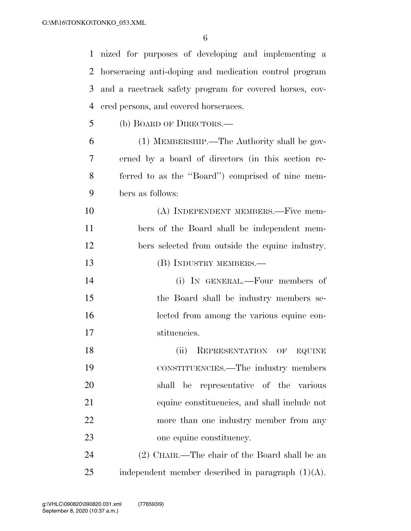nized for purposes of developing and implementing a horseracing anti-doping and medication control program and a racetrack safety program for covered horses, cov- ered persons, and covered horseraces. (b) BOARD OF DIRECTORS.— (1) MEMBERSHIP.—The Authority shall be gov- erned by a board of directors (in this section re- ferred to as the ''Board'') comprised of nine mem- bers as follows: 10 (A) INDEPENDENT MEMBERS.—Five mem-bers of the Board shall be independent mem-

- bers selected from outside the equine industry.
- 13 (B) INDUSTRY MEMBERS.—
- (i) IN GENERAL.—Four members of the Board shall be industry members se- lected from among the various equine con-stituencies.

18 (ii) REPRESENTATION OF EQUINE CONSTITUENCIES.—The industry members shall be representative of the various equine constituencies, and shall include not more than one industry member from any one equine constituency.

 (2) CHAIR.—The chair of the Board shall be an 25 independent member described in paragraph  $(1)(A)$ .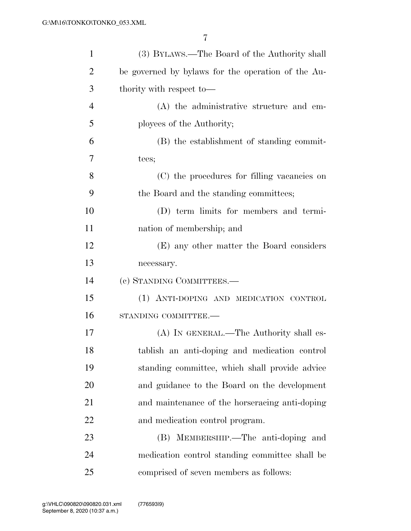| $\mathbf{1}$   | (3) BYLAWS.—The Board of the Authority shall       |
|----------------|----------------------------------------------------|
| $\overline{2}$ | be governed by bylaws for the operation of the Au- |
| 3              | thority with respect to—                           |
| $\overline{4}$ | (A) the administrative structure and em-           |
| 5              | ployees of the Authority;                          |
| 6              | (B) the establishment of standing commit-          |
| 7              | tees;                                              |
| 8              | (C) the procedures for filling vacancies on        |
| 9              | the Board and the standing committees;             |
| 10             | (D) term limits for members and termi-             |
| 11             | nation of membership; and                          |
| 12             | (E) any other matter the Board considers           |
| 13             | necessary.                                         |
| 14             | (c) STANDING COMMITTEES.—                          |
| 15             | (1) ANTI-DOPING AND MEDICATION CONTROL             |
| 16             | STANDING COMMITTEE.-                               |
| 17             | (A) IN GENERAL.—The Authority shall es-            |
| 18             | tablish an anti-doping and medication control      |
| 19             | standing committee, which shall provide advice     |
| 20             | and guidance to the Board on the development       |
| 21             | and maintenance of the horseracing anti-doping     |
| 22             | and medication control program.                    |
| 23             | (B) MEMBERSHIP.—The anti-doping and                |
| 24             | medication control standing committee shall be     |
| 25             | comprised of seven members as follows:             |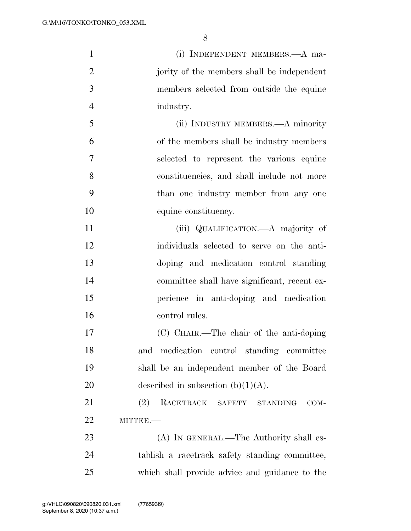| $\mathbf{1}$   | (i) INDEPENDENT MEMBERS.—A ma-                     |
|----------------|----------------------------------------------------|
| $\overline{2}$ | jority of the members shall be independent         |
| 3              | members selected from outside the equine           |
| $\overline{4}$ | industry.                                          |
| 5              | (ii) INDUSTRY MEMBERS.—A minority                  |
| 6              | of the members shall be industry members           |
| 7              | selected to represent the various equine           |
| 8              | constituencies, and shall include not more         |
| 9              | than one industry member from any one              |
| 10             | equine constituency.                               |
| 11             | (iii) QUALIFICATION.—A majority of                 |
| 12             | individuals selected to serve on the anti-         |
| 13             | doping and medication control standing             |
| 14             | committee shall have significant, recent ex-       |
| 15             | perience in anti-doping and medication             |
| 16             | control rules.                                     |
| 17             | (C) CHAIR.—The chair of the anti-doping            |
| 18             | control standing committee<br>medication<br>and    |
| 19             | shall be an independent member of the Board        |
| <b>20</b>      | described in subsection $(b)(1)(A)$ .              |
| 21             | (2)<br>RACETRACK SAFETY<br><b>STANDING</b><br>COM- |
| 22             | MITTEE.-                                           |
| 23             | (A) IN GENERAL.—The Authority shall es-            |
| 24             | tablish a racetrack safety standing committee,     |
| 25             | which shall provide advice and guidance to the     |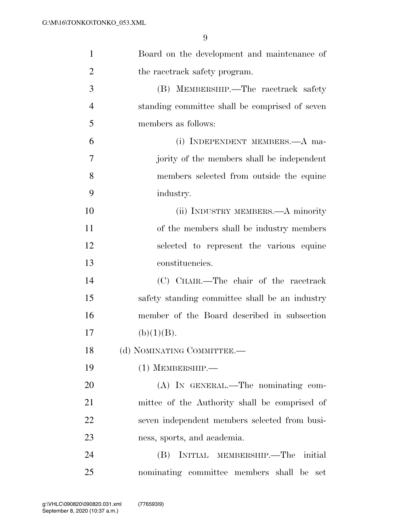| $\mathbf{1}$   | Board on the development and maintenance of    |
|----------------|------------------------------------------------|
| $\overline{2}$ | the racetrack safety program.                  |
| 3              | (B) MEMBERSHIP.—The racetrack safety           |
| $\overline{4}$ | standing committee shall be comprised of seven |
| 5              | members as follows:                            |
| 6              | (i) INDEPENDENT MEMBERS.—A ma-                 |
| $\overline{7}$ | jority of the members shall be independent     |
| 8              | members selected from outside the equine       |
| 9              | industry.                                      |
| 10             | (ii) INDUSTRY MEMBERS.—A minority              |
| 11             | of the members shall be industry members       |
| 12             | selected to represent the various equine       |
| 13             | constituencies.                                |
| 14             | (C) CHAIR.—The chair of the racetrack          |
| 15             | safety standing committee shall be an industry |
| 16             | member of the Board described in subsection    |
| 17             | (b)(1)(B).                                     |
| 18             | (d) NOMINATING COMMITTEE.-                     |
| 19             | $(1)$ MEMBERSHIP.—                             |
| 20             | (A) IN GENERAL.—The nominating com-            |
| 21             | mittee of the Authority shall be comprised of  |
| 22             | seven independent members selected from busi-  |
| 23             | ness, sports, and academia.                    |
| 24             | INITIAL MEMBERSHIP.—The initial<br>(B)         |
| 25             | nominating committee members shall be set      |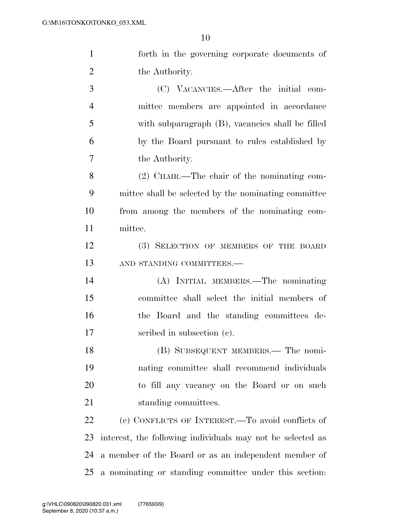| $\mathbf{1}$   | forth in the governing corporate documents of              |
|----------------|------------------------------------------------------------|
| $\overline{2}$ | the Authority.                                             |
| 3              | (C) VACANCIES.—After the initial com-                      |
| $\overline{4}$ | mittee members are appointed in accordance                 |
| 5              | with subparagraph (B), vacancies shall be filled           |
| 6              | by the Board pursuant to rules established by              |
| $\overline{7}$ | the Authority.                                             |
| 8              | $(2)$ CHAIR.—The chair of the nominating com-              |
| 9              | mittee shall be selected by the nominating committee       |
| 10             | from among the members of the nominating com-              |
| 11             | mittee.                                                    |
| 12             | (3) SELECTION OF MEMBERS OF THE BOARD                      |
| 13             | AND STANDING COMMITTEES.-                                  |
| 14             | (A) INITIAL MEMBERS.—The nominating                        |
| 15             | committee shall select the initial members of              |
| 16             | the Board and the standing committees de-                  |
| 17             | scribed in subsection (c).                                 |
| 18             | (B) SUBSEQUENT MEMBERS.— The nomi-                         |
| 19             | nating committee shall recommend individuals               |
| 20             | to fill any vacancy on the Board or on such                |
| 21             | standing committees.                                       |
| 22             | (e) CONFLICTS OF INTEREST.—To avoid conflicts of           |
| 23             | interest, the following individuals may not be selected as |
| 24             | a member of the Board or as an independent member of       |
| 25             | a nominating or standing committee under this section.     |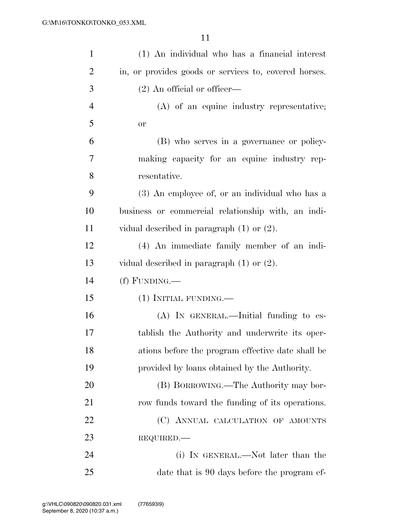| $\mathbf{1}$   | (1) An individual who has a financial interest        |
|----------------|-------------------------------------------------------|
| $\overline{2}$ | in, or provides goods or services to, covered horses. |
| 3              | $(2)$ An official or officer—                         |
| $\overline{4}$ | (A) of an equine industry representative;             |
| 5              | or                                                    |
| 6              | (B) who serves in a governance or policy-             |
| 7              | making capacity for an equine industry rep-           |
| 8              | resentative.                                          |
| 9              | (3) An employee of, or an individual who has a        |
| 10             | business or commercial relationship with, an indi-    |
| <sup>11</sup>  | vidual described in paragraph $(1)$ or $(2)$ .        |
| 12             | (4) An immediate family member of an indi-            |
| 13             | vidual described in paragraph $(1)$ or $(2)$ .        |
| 14             | $(f)$ FUNDING.—                                       |
| 15             | $(1)$ INITIAL FUNDING.—                               |
| 16             | $(A)$ In GENERAL.—Initial funding to es-              |
| 17             | tablish the Authority and underwrite its oper-        |
| 18             | ations before the program effective date shall be     |
| 19             | provided by loans obtained by the Authority.          |
| 20             | (B) BORROWING.—The Authority may bor-                 |
| 21             | row funds toward the funding of its operations.       |
| 22             | (C) ANNUAL CALCULATION OF AMOUNTS                     |
| 23             | REQUIRED.                                             |
| 24             | (i) IN GENERAL.—Not later than the                    |
| 25             | date that is 90 days before the program ef-           |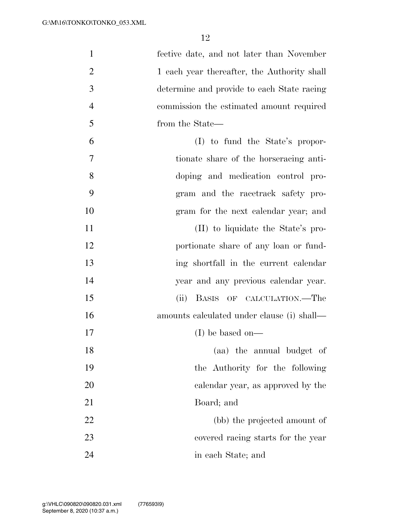| $\mathbf{1}$   | fective date, and not later than November   |
|----------------|---------------------------------------------|
| $\overline{2}$ | 1 each year thereafter, the Authority shall |
| 3              | determine and provide to each State racing  |
| $\overline{4}$ | commission the estimated amount required    |
| 5              | from the State—                             |
| 6              | $(I)$ to fund the State's propor-           |
| 7              | tionate share of the horseracing anti-      |
| 8              | doping and medication control pro-          |
| 9              | gram and the racetrack safety pro-          |
| 10             | gram for the next calendar year; and        |
| 11             | (II) to liquidate the State's pro-          |
| 12             | portionate share of any loan or fund-       |
| 13             | ing shortfall in the current calendar       |
| 14             | year and any previous calendar year.        |
| 15             | BASIS OF CALCULATION.—The<br>(ii)           |
| 16             | amounts calculated under clause (i) shall—  |
| 17             | $(I)$ be based on—                          |
| 18             | (aa) the annual budget of                   |
| 19             | the Authority for the following             |
| 20             | calendar year, as approved by the           |
| 21             | Board; and                                  |
| 22             | (bb) the projected amount of                |
| 23             | covered racing starts for the year          |
| 24             | in each State; and                          |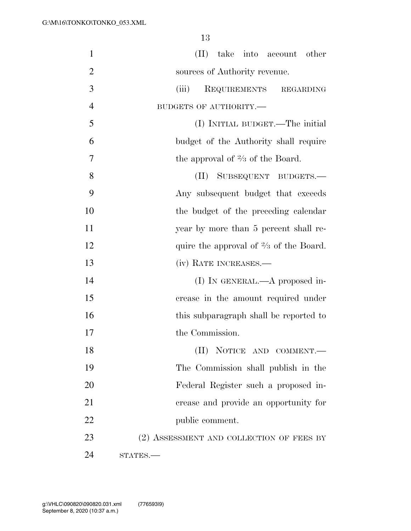| $\mathbf{1}$   | (II) take into account other                      |
|----------------|---------------------------------------------------|
| $\overline{2}$ | sources of Authority revenue.                     |
| 3              | (iii)<br>REQUIREMENTS REGARDING                   |
| $\overline{4}$ | BUDGETS OF AUTHORITY.-                            |
| 5              | (I) INITIAL BUDGET.—The initial                   |
| 6              | budget of the Authority shall require             |
| 7              | the approval of $\frac{2}{3}$ of the Board.       |
| 8              | SUBSEQUENT BUDGETS.<br>(II)                       |
| 9              | Any subsequent budget that exceeds                |
| 10             | the budget of the preceding calendar              |
| 11             | year by more than 5 percent shall re-             |
| 12             | quire the approval of $\frac{2}{3}$ of the Board. |
| 13             | (iv) RATE INCREASES.—                             |
| 14             | (I) IN GENERAL.— $A$ proposed in-                 |
| 15             | crease in the amount required under               |
| 16             | this subparagraph shall be reported to            |
| 17             | the Commission.                                   |
| 18             | (II) NOTICE AND COMMENT.-                         |
| 19             | The Commission shall publish in the               |
| 20             | Federal Register such a proposed in-              |
| 21             | crease and provide an opportunity for             |
| 22             | public comment.                                   |
| 23             | (2) ASSESSMENT AND COLLECTION OF FEES BY          |
| 24             | STATES.                                           |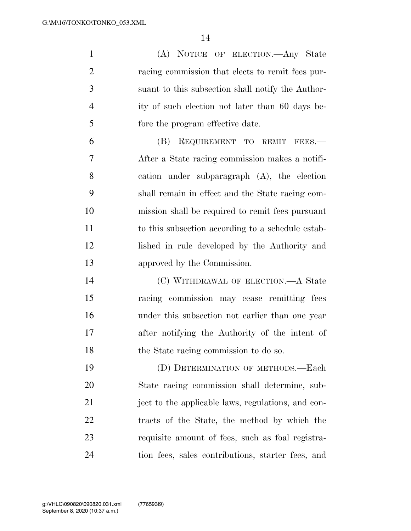(A) NOTICE OF ELECTION.—Any State racing commission that elects to remit fees pur- suant to this subsection shall notify the Author- ity of such election not later than 60 days be- fore the program effective date. (B) REQUIREMENT TO REMIT FEES.— After a State racing commission makes a notifi- cation under subparagraph (A), the election shall remain in effect and the State racing com- mission shall be required to remit fees pursuant to this subsection according to a schedule estab- lished in rule developed by the Authority and approved by the Commission. (C) WITHDRAWAL OF ELECTION.—A State racing commission may cease remitting fees

 under this subsection not earlier than one year after notifying the Authority of the intent of the State racing commission to do so.

 (D) DETERMINATION OF METHODS.—Each State racing commission shall determine, sub- ject to the applicable laws, regulations, and con- tracts of the State, the method by which the requisite amount of fees, such as foal registra-tion fees, sales contributions, starter fees, and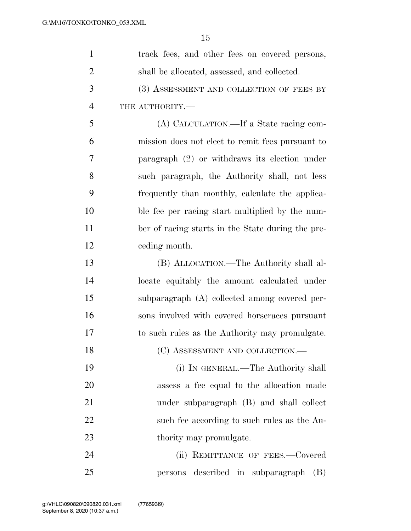| $\mathbf{1}$   | track fees, and other fees on covered persons,    |
|----------------|---------------------------------------------------|
| $\overline{2}$ | shall be allocated, assessed, and collected.      |
| 3              | (3) ASSESSMENT AND COLLECTION OF FEES BY          |
| $\overline{4}$ | THE AUTHORITY.-                                   |
| 5              | (A) CALCULATION.—If a State racing com-           |
| 6              | mission does not elect to remit fees pursuant to  |
| 7              | paragraph $(2)$ or withdraws its election under   |
| 8              | such paragraph, the Authority shall, not less     |
| 9              | frequently than monthly, calculate the applica-   |
| 10             | ble fee per racing start multiplied by the num-   |
| 11             | ber of racing starts in the State during the pre- |
| 12             | ceding month.                                     |
| 13             | (B) ALLOCATION.—The Authority shall al-           |
| 14             | locate equitably the amount calculated under      |
| 15             | subparagraph (A) collected among covered per-     |
| 16             | sons involved with covered horseraces pursuant    |
| 17             | to such rules as the Authority may promulgate.    |
| 18             | (C) ASSESSMENT AND COLLECTION.—                   |
| 19             | (i) IN GENERAL.—The Authority shall               |
| 20             | assess a fee equal to the allocation made         |
| 21             | under subparagraph (B) and shall collect          |
| 22             | such fee according to such rules as the Au-       |
| 23             | thority may promulgate.                           |
| 24             | (ii) REMITTANCE OF FEES.-Covered                  |
| 25             | persons described in subparagraph<br>(B)          |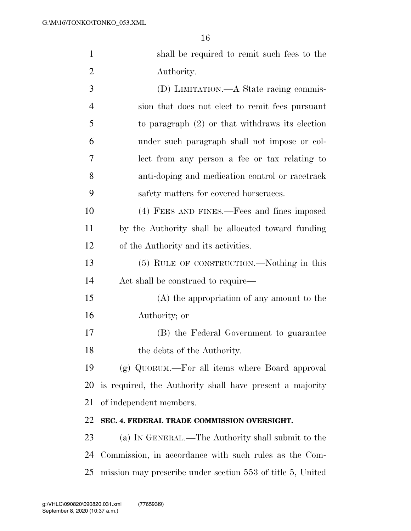| $\mathbf{1}$   | shall be required to remit such fees to the              |
|----------------|----------------------------------------------------------|
| $\overline{2}$ | Authority.                                               |
| 3              | (D) LIMITATION.—A State racing commis-                   |
| $\overline{4}$ | sion that does not elect to remit fees pursuant          |
| 5              | to paragraph $(2)$ or that withdraws its election        |
| 6              | under such paragraph shall not impose or col-            |
| $\overline{7}$ | lect from any person a fee or tax relating to            |
| 8              | anti-doping and medication control or racetrack          |
| 9              | safety matters for covered horseraces.                   |
| 10             | (4) FEES AND FINES.—Fees and fines imposed               |
| 11             | by the Authority shall be allocated toward funding       |
| 12             | of the Authority and its activities.                     |
| 13             | (5) RULE OF CONSTRUCTION.—Nothing in this                |
| 14             | Act shall be construed to require—                       |
| 15             | (A) the appropriation of any amount to the               |
| 16             | Authority; or                                            |
| 17             | (B) the Federal Government to guarantee                  |
| 18             | the debts of the Authority.                              |
| 19             | (g) QUORUM.—For all items where Board approval           |
| 20             | is required, the Authority shall have present a majority |
| 21             | of independent members.                                  |
| 22             | SEC. 4. FEDERAL TRADE COMMISSION OVERSIGHT.              |
| 23             | (a) IN GENERAL.—The Authority shall submit to the        |
| 24             | Commission, in accordance with such rules as the Com-    |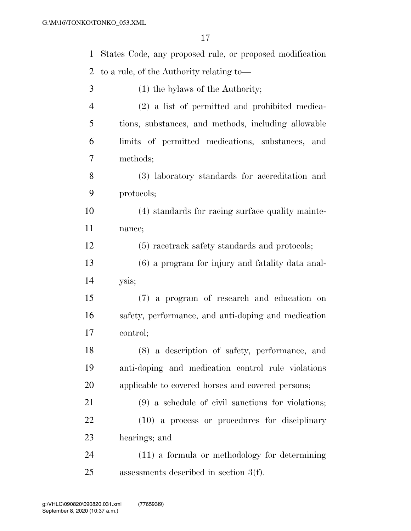| $\mathbf{1}$ | States Code, any proposed rule, or proposed modification |
|--------------|----------------------------------------------------------|
| 2            | to a rule, of the Authority relating to—                 |
| 3            | $(1)$ the bylaws of the Authority;                       |
| 4            | (2) a list of permitted and prohibited medica-           |
| 5            | tions, substances, and methods, including allowable      |
| 6            | limits of permitted medications, substances, and         |
| 7            | methods;                                                 |
| 8            | (3) laboratory standards for accreditation and           |
| 9            | protocols;                                               |
| 10           | (4) standards for racing surface quality mainte-         |
| 11           | nance;                                                   |
| 12           | (5) racetrack safety standards and protocols;            |
| 13           | (6) a program for injury and fatality data anal-         |
| 14           | ysis;                                                    |
| 15           | (7) a program of research and education on               |
| 16           | safety, performance, and anti-doping and medication      |
| 17           | control;                                                 |
| 18           | (8) a description of safety, performance, and            |
| 19           | anti-doping and medication control rule violations       |
| 20           | applicable to covered horses and covered persons;        |
| 21           | $(9)$ a schedule of civil sanctions for violations;      |
| 22           | $(10)$ a process or procedures for disciplinary          |
| 23           | hearings; and                                            |
| 24           | $(11)$ a formula or methodology for determining          |
| 25           | assessments described in section $3(f)$ .                |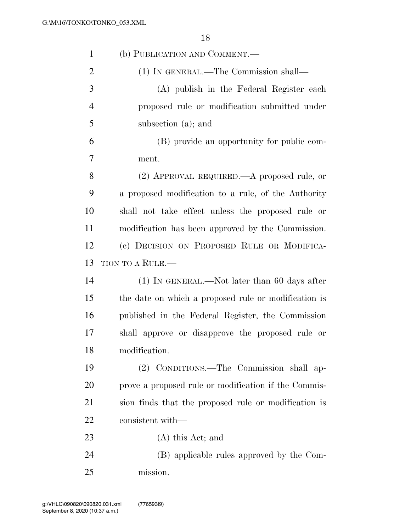| $\mathbf{1}$   | (b) PUBLICATION AND COMMENT.—                        |
|----------------|------------------------------------------------------|
| $\overline{2}$ | (1) IN GENERAL.—The Commission shall—                |
| 3              | (A) publish in the Federal Register each             |
| $\overline{4}$ | proposed rule or modification submitted under        |
| 5              | subsection (a); and                                  |
| 6              | (B) provide an opportunity for public com-           |
| 7              | ment.                                                |
| 8              | (2) APPROVAL REQUIRED.—A proposed rule, or           |
| 9              | a proposed modification to a rule, of the Authority  |
| 10             | shall not take effect unless the proposed rule or    |
| 11             | modification has been approved by the Commission.    |
| 12             | (c) DECISION ON PROPOSED RULE OR MODIFICA-           |
| 13             | TION TO A RULE.—                                     |
| 14             | $(1)$ In GENERAL.—Not later than 60 days after       |
| 15             | the date on which a proposed rule or modification is |
| 16             | published in the Federal Register, the Commission    |
| 17             | shall approve or disapprove the proposed rule or     |
| 18             | modification.                                        |
| 19             | (2) CONDITIONS.—The Commission shall ap-             |
| 20             | prove a proposed rule or modification if the Commis- |
| 21             | sion finds that the proposed rule or modification is |
| 22             | consistent with—                                     |
| 23             | $(A)$ this Act; and                                  |
| 24             | (B) applicable rules approved by the Com-            |
| 25             | mission.                                             |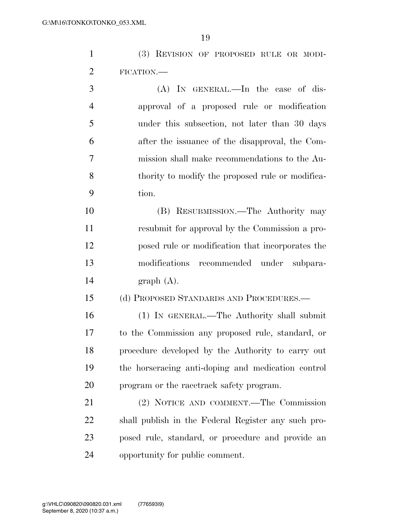| $\mathbf{1}$   | (3) REVISION OF PROPOSED RULE OR MODI-           |
|----------------|--------------------------------------------------|
| 2              | FICATION.—                                       |
| 3              | (A) IN GENERAL.—In the case of dis-              |
| $\overline{4}$ | approval of a proposed rule or modification      |
| 5              | under this subsection, not later than 30 days    |
| 6              | after the issuance of the disapproval, the Com-  |
| 7              | mission shall make recommendations to the Au-    |
| 8              | thority to modify the proposed rule or modifica- |
| 9              | tion.                                            |
| 10             | (B) RESUBMISSION.—The Authority may              |

 resubmit for approval by the Commission a pro- posed rule or modification that incorporates the modifications recommended under subpara-graph (A).

(d) PROPOSED STANDARDS AND PROCEDURES.—

 (1) IN GENERAL.—The Authority shall submit to the Commission any proposed rule, standard, or procedure developed by the Authority to carry out the horseracing anti-doping and medication control program or the racetrack safety program.

 (2) NOTICE AND COMMENT.—The Commission shall publish in the Federal Register any such pro- posed rule, standard, or procedure and provide an opportunity for public comment.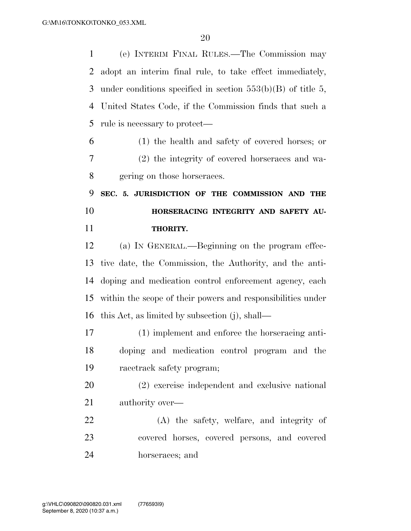(e) INTERIM FINAL RULES.—The Commission may adopt an interim final rule, to take effect immediately, under conditions specified in section 553(b)(B) of title 5, United States Code, if the Commission finds that such a rule is necessary to protect— (1) the health and safety of covered horses; or (2) the integrity of covered horseraces and wa- gering on those horseraces. **SEC. 5. JURISDICTION OF THE COMMISSION AND THE HORSERACING INTEGRITY AND SAFETY AU- THORITY.**  (a) IN GENERAL.—Beginning on the program effec- tive date, the Commission, the Authority, and the anti- doping and medication control enforcement agency, each within the scope of their powers and responsibilities under this Act, as limited by subsection (j), shall— (1) implement and enforce the horseracing anti- doping and medication control program and the racetrack safety program; (2) exercise independent and exclusive national authority over— (A) the safety, welfare, and integrity of covered horses, covered persons, and covered horseraces; and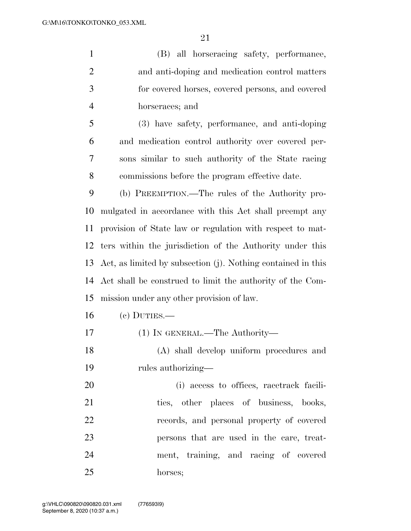(B) all horseracing safety, performance, and anti-doping and medication control matters for covered horses, covered persons, and covered horseraces; and

 (3) have safety, performance, and anti-doping and medication control authority over covered per- sons similar to such authority of the State racing commissions before the program effective date.

 (b) PREEMPTION.—The rules of the Authority pro- mulgated in accordance with this Act shall preempt any provision of State law or regulation with respect to mat- ters within the jurisdiction of the Authority under this Act, as limited by subsection (j). Nothing contained in this Act shall be construed to limit the authority of the Com-mission under any other provision of law.

- (c) DUTIES.—
- (1) IN GENERAL.—The Authority—
- (A) shall develop uniform procedures and rules authorizing—

 (i) access to offices, racetrack facili-21 ties, other places of business, books, records, and personal property of covered persons that are used in the care, treat- ment, training, and racing of covered horses;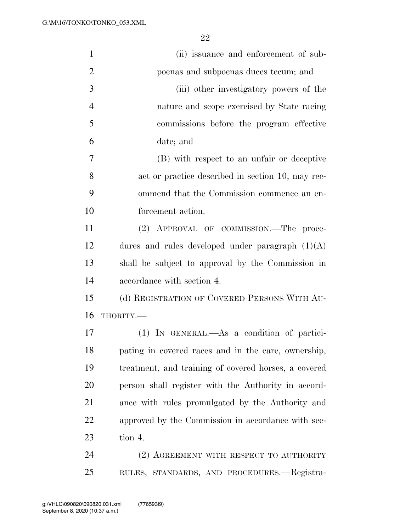| $\mathbf{1}$   | (ii) issuance and enforcement of sub-                |
|----------------|------------------------------------------------------|
| $\overline{2}$ | poenas and subpoenas duces tecum; and                |
| 3              | (iii) other investigatory powers of the              |
| $\overline{4}$ | nature and scope exercised by State racing           |
| 5              | commissions before the program effective             |
| 6              | date; and                                            |
| 7              | (B) with respect to an unfair or deceptive           |
| 8              | act or practice described in section 10, may rec-    |
| 9              | ommend that the Commission commence an en-           |
| 10             | forcement action.                                    |
| 11             | (2) APPROVAL OF COMMISSION.—The proce-               |
| 12             | dures and rules developed under paragraph $(1)(A)$   |
| 13             | shall be subject to approval by the Commission in    |
| 14             | accordance with section 4.                           |
| 15             | (d) REGISTRATION OF COVERED PERSONS WITH AU-         |
| 16             | THORITY.-                                            |
| 17             | (1) IN GENERAL.—As a condition of partici-           |
| 18             | pating in covered races and in the care, ownership,  |
| 19             | treatment, and training of covered horses, a covered |
| 20             | person shall register with the Authority in accord-  |
| 21             | ance with rules promulgated by the Authority and     |
| 22             | approved by the Commission in accordance with sec-   |
| 23             | tion 4.                                              |
| 24             | (2) AGREEMENT WITH RESPECT TO AUTHORITY              |
| 25             | RULES, STANDARDS, AND PROCEDURES.—Registra-          |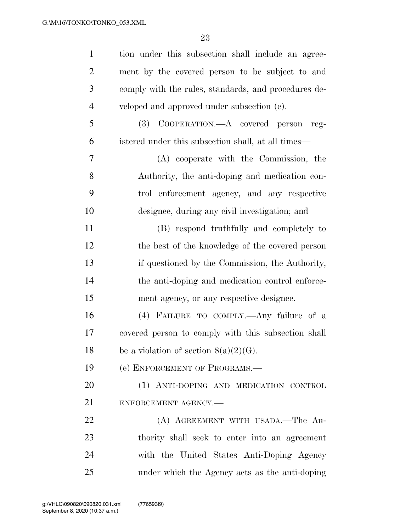| $\mathbf{1}$   | tion under this subsection shall include an agree-   |
|----------------|------------------------------------------------------|
| $\overline{2}$ | ment by the covered person to be subject to and      |
| 3              | comply with the rules, standards, and procedures de- |
| $\overline{4}$ | veloped and approved under subsection (c).           |
| 5              | COOPERATION.—A covered person<br>(3)<br>reg-         |
| 6              | istered under this subsection shall, at all times—   |
| 7              | (A) cooperate with the Commission, the               |
| 8              | Authority, the anti-doping and medication con-       |
| 9              | trol enforcement agency, and any respective          |
| 10             | designee, during any civil investigation; and        |
| 11             | (B) respond truthfully and completely to             |
| 12             | the best of the knowledge of the covered person      |
| 13             | if questioned by the Commission, the Authority,      |
| 14             | the anti-doping and medication control enforce-      |
| 15             | ment agency, or any respective designee.             |
| 16             | (4) FAILURE TO COMPLY.—Any failure of a              |
| 17             | covered person to comply with this subsection shall  |
| 18             | be a violation of section $8(a)(2)(G)$ .             |
| 19             | (e) ENFORCEMENT OF PROGRAMS.—                        |
| 20             | (1) ANTI-DOPING AND MEDICATION CONTROL               |
| 21             | ENFORCEMENT AGENCY.-                                 |
| 22             | (A) AGREEMENT WITH USADA.—The Au-                    |
| 23             | thority shall seek to enter into an agreement        |
| 24             | with the United States Anti-Doping Agency            |
| 25             | under which the Agency acts as the anti-doping       |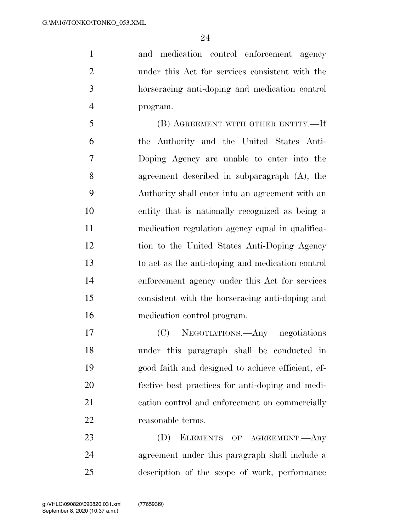and medication control enforcement agency under this Act for services consistent with the horseracing anti-doping and medication control program.

 (B) AGREEMENT WITH OTHER ENTITY.—If the Authority and the United States Anti- Doping Agency are unable to enter into the agreement described in subparagraph (A), the Authority shall enter into an agreement with an entity that is nationally recognized as being a medication regulation agency equal in qualifica- tion to the United States Anti-Doping Agency to act as the anti-doping and medication control enforcement agency under this Act for services consistent with the horseracing anti-doping and medication control program.

 (C) NEGOTIATIONS.—Any negotiations under this paragraph shall be conducted in good faith and designed to achieve efficient, ef- fective best practices for anti-doping and medi- cation control and enforcement on commercially 22 reasonable terms.

23 (D) ELEMENTS OF AGREEMENT.—Any agreement under this paragraph shall include a description of the scope of work, performance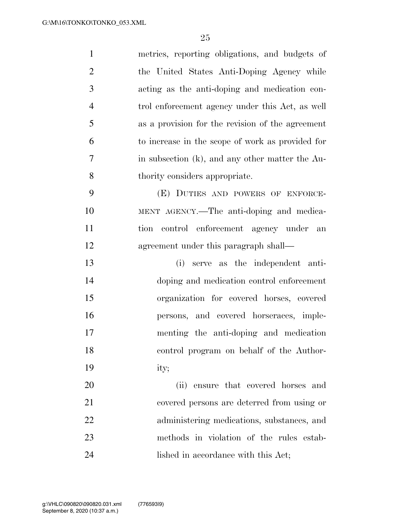| $\mathbf{1}$   | metrics, reporting obligations, and budgets of   |
|----------------|--------------------------------------------------|
| $\overline{2}$ | the United States Anti-Doping Agency while       |
| 3              | acting as the anti-doping and medication con-    |
| $\overline{4}$ | trol enforcement agency under this Act, as well  |
| 5              | as a provision for the revision of the agreement |
| 6              | to increase in the scope of work as provided for |
| $\overline{7}$ | in subsection (k), and any other matter the Au-  |
| 8              | thority considers appropriate.                   |
| 9              | (E) DUTIES AND POWERS OF ENFORCE-                |
| 10             | MENT AGENCY.—The anti-doping and medica-         |
| 11             | tion control enforcement agency under<br>an      |
| 12             | agreement under this paragraph shall—            |
| 13             | serve as the independent anti-<br>(i)            |
| 14             | doping and medication control enforcement        |
| 15             | organization for covered horses, covered         |
| 16             | persons, and covered horseraces, imple-          |
| 17             | menting the anti-doping and medication           |
| 18             | control program on behalf of the Author-         |
| 19             | ity;                                             |
| 20             | (ii) ensure that covered horses and              |
| 21             | covered persons are deterred from using or       |
| 22             | administering medications, substances, and       |
| 23             | methods in violation of the rules estab-         |
| 24             | lished in accordance with this Act;              |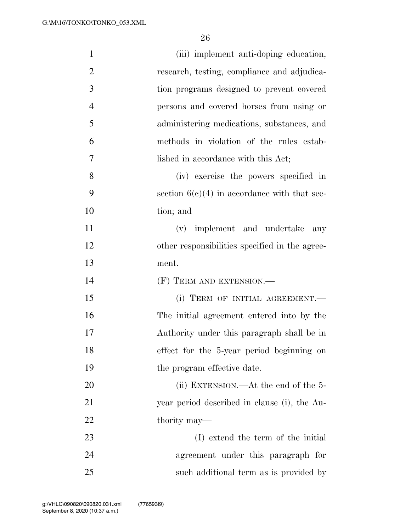| $\mathbf{1}$   | (iii) implement anti-doping education,         |
|----------------|------------------------------------------------|
| $\overline{2}$ | research, testing, compliance and adjudica-    |
| 3              | tion programs designed to prevent covered      |
| $\overline{4}$ | persons and covered horses from using or       |
| 5              | administering medications, substances, and     |
| 6              | methods in violation of the rules estab-       |
| 7              | lished in accordance with this Act;            |
| 8              | (iv) exercise the powers specified in          |
| 9              | section $6(c)(4)$ in accordance with that sec- |
| 10             | tion; and                                      |
| 11             | (v) implement and undertake<br>any             |
| 12             | other responsibilities specified in the agree- |
| 13             | ment.                                          |
| 14             | $(F)$ TERM AND EXTENSION.—                     |
| 15             | (i) TERM OF INITIAL AGREEMENT.                 |
| 16             | The initial agreement entered into by the      |
| 17             | Authority under this paragraph shall be in     |
| 18             | effect for the 5-year period beginning on      |
| 19             | the program effective date.                    |
| 20             | (ii) EXTENSION.—At the end of the $5-$         |
| 21             | year period described in clause (i), the Au-   |
| 22             | thority may—                                   |
| 23             | (I) extend the term of the initial             |
| 24             | agreement under this paragraph for             |
|                |                                                |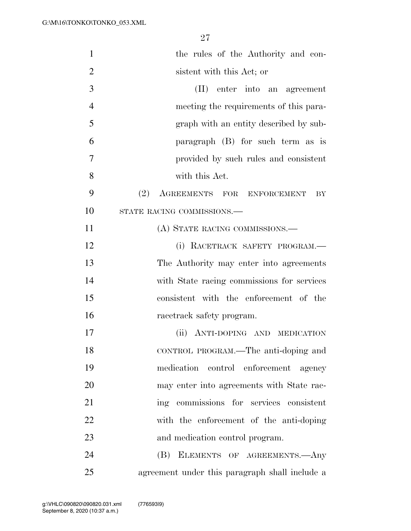| $\mathbf{1}$   | the rules of the Authority and con-            |
|----------------|------------------------------------------------|
| $\overline{2}$ | sistent with this Act; or                      |
| 3              | (II) enter into an agreement                   |
| $\overline{4}$ | meeting the requirements of this para-         |
| 5              | graph with an entity described by sub-         |
| 6              | paragraph $(B)$ for such term as is            |
| 7              | provided by such rules and consistent          |
| 8              | with this Act.                                 |
| 9              | (2) AGREEMENTS FOR ENFORCEMENT<br>BY           |
| 10             | STATE RACING COMMISSIONS.-                     |
| 11             | (A) STATE RACING COMMISSIONS.—                 |
| 12             | (i) RACETRACK SAFETY PROGRAM.                  |
| 13             | The Authority may enter into agreements        |
| 14             | with State racing commissions for services     |
| 15             | consistent with the enforcement of the         |
| 16             | racetrack safety program.                      |
| 17             | ANTI-DOPING AND MEDICATION<br>(ii)             |
| 18             | CONTROL PROGRAM.—The anti-doping and           |
| 19             | medication control enforcement agency          |
| 20             | may enter into agreements with State rac-      |
| 21             | ing commissions for services consistent        |
| 22             | with the enforcement of the anti-doping        |
| 23             | and medication control program.                |
| 24             | (B) ELEMENTS OF AGREEMENTS.—Any                |
| 25             | agreement under this paragraph shall include a |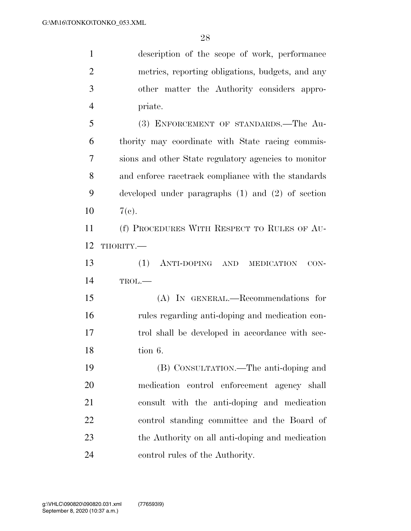description of the scope of work, performance metrics, reporting obligations, budgets, and any other matter the Authority considers appro- priate. (3) ENFORCEMENT OF STANDARDS.—The Au- thority may coordinate with State racing commis- sions and other State regulatory agencies to monitor and enforce racetrack compliance with the standards developed under paragraphs (1) and (2) of section  $10 \t 7(e)$ . (f) PROCEDURES WITH RESPECT TO RULES OF AU- THORITY.— (1) ANTI-DOPING AND MEDICATION CON- TROL.— (A) IN GENERAL.—Recommendations for rules regarding anti-doping and medication con- trol shall be developed in accordance with sec- tion 6. (B) CONSULTATION.—The anti-doping and medication control enforcement agency shall consult with the anti-doping and medication control standing committee and the Board of the Authority on all anti-doping and medication control rules of the Authority.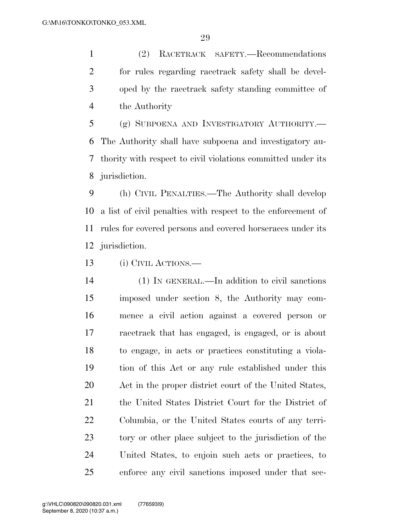(2) RACETRACK SAFETY.—Recommendations for rules regarding racetrack safety shall be devel- oped by the racetrack safety standing committee of the Authority

 (g) SUBPOENA AND INVESTIGATORY AUTHORITY.— The Authority shall have subpoena and investigatory au- thority with respect to civil violations committed under its jurisdiction.

 (h) CIVIL PENALTIES.—The Authority shall develop a list of civil penalties with respect to the enforcement of rules for covered persons and covered horseraces under its jurisdiction.

(i) CIVIL ACTIONS.—

 (1) IN GENERAL.—In addition to civil sanctions imposed under section 8, the Authority may com- mence a civil action against a covered person or racetrack that has engaged, is engaged, or is about to engage, in acts or practices constituting a viola- tion of this Act or any rule established under this Act in the proper district court of the United States, the United States District Court for the District of Columbia, or the United States courts of any terri- tory or other place subject to the jurisdiction of the United States, to enjoin such acts or practices, to enforce any civil sanctions imposed under that sec-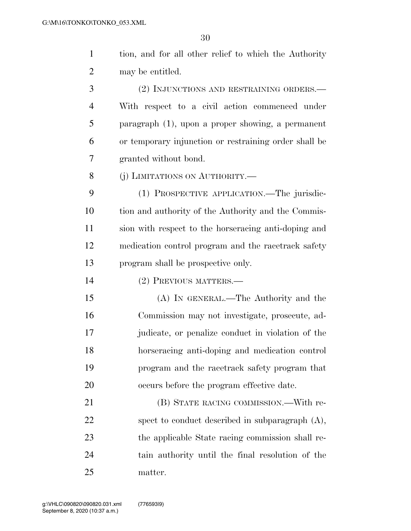tion, and for all other relief to which the Authority may be entitled. (2) INJUNCTIONS AND RESTRAINING ORDERS.— With respect to a civil action commenced under paragraph (1), upon a proper showing, a permanent or temporary injunction or restraining order shall be granted without bond. 8 (i) LIMITATIONS ON AUTHORITY.—

 (1) PROSPECTIVE APPLICATION.—The jurisdic- tion and authority of the Authority and the Commis- sion with respect to the horseracing anti-doping and medication control program and the racetrack safety program shall be prospective only.

(2) PREVIOUS MATTERS.—

 (A) IN GENERAL.—The Authority and the Commission may not investigate, prosecute, ad- judicate, or penalize conduct in violation of the horseracing anti-doping and medication control program and the racetrack safety program that occurs before the program effective date.

 (B) STATE RACING COMMISSION.—With re-22 spect to conduct described in subparagraph  $(A)$ , the applicable State racing commission shall re- tain authority until the final resolution of the matter.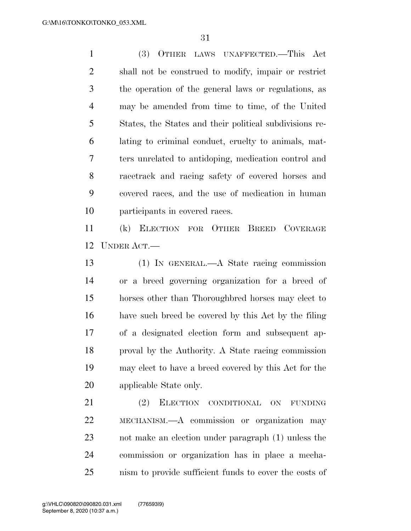(3) OTHER LAWS UNAFFECTED.—This Act shall not be construed to modify, impair or restrict the operation of the general laws or regulations, as may be amended from time to time, of the United States, the States and their political subdivisions re- lating to criminal conduct, cruelty to animals, mat- ters unrelated to antidoping, medication control and racetrack and racing safety of covered horses and covered races, and the use of medication in human participants in covered races.

 (k) ELECTION FOR OTHER BREED COVERAGE UNDER ACT.—

 (1) IN GENERAL.—A State racing commission or a breed governing organization for a breed of horses other than Thoroughbred horses may elect to have such breed be covered by this Act by the filing of a designated election form and subsequent ap- proval by the Authority. A State racing commission may elect to have a breed covered by this Act for the applicable State only.

 (2) ELECTION CONDITIONAL ON FUNDING MECHANISM.—A commission or organization may not make an election under paragraph (1) unless the commission or organization has in place a mecha-nism to provide sufficient funds to cover the costs of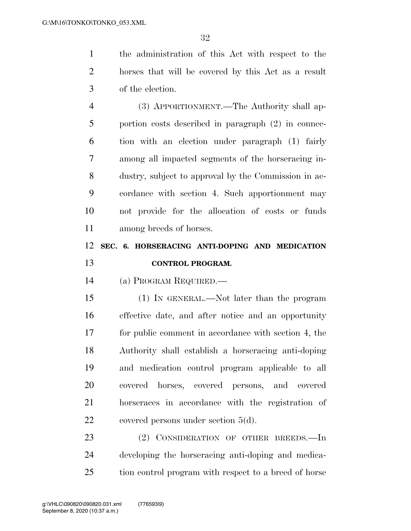the administration of this Act with respect to the horses that will be covered by this Act as a result of the election.

 (3) APPORTIONMENT.—The Authority shall ap- portion costs described in paragraph (2) in connec- tion with an election under paragraph (1) fairly among all impacted segments of the horseracing in- dustry, subject to approval by the Commission in ac- cordance with section 4. Such apportionment may not provide for the allocation of costs or funds among breeds of horses.

# **SEC. 6. HORSERACING ANTI-DOPING AND MEDICATION CONTROL PROGRAM.**

(a) PROGRAM REQUIRED.—

 (1) IN GENERAL.—Not later than the program effective date, and after notice and an opportunity for public comment in accordance with section 4, the Authority shall establish a horseracing anti-doping and medication control program applicable to all covered horses, covered persons, and covered horseraces in accordance with the registration of 22 covered persons under section 5(d).

23 (2) CONSIDERATION OF OTHER BREEDS. In developing the horseracing anti-doping and medica-tion control program with respect to a breed of horse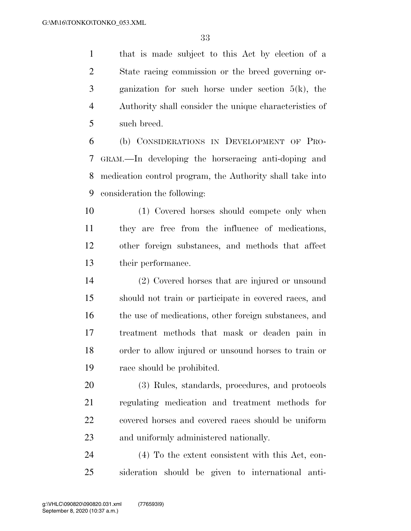that is made subject to this Act by election of a State racing commission or the breed governing or- ganization for such horse under section 5(k), the Authority shall consider the unique characteristics of such breed.

 (b) CONSIDERATIONS IN DEVELOPMENT OF PRO- GRAM.—In developing the horseracing anti-doping and medication control program, the Authority shall take into consideration the following:

 (1) Covered horses should compete only when they are free from the influence of medications, other foreign substances, and methods that affect their performance.

 (2) Covered horses that are injured or unsound should not train or participate in covered races, and 16 the use of medications, other foreign substances, and treatment methods that mask or deaden pain in order to allow injured or unsound horses to train or race should be prohibited.

 (3) Rules, standards, procedures, and protocols regulating medication and treatment methods for covered horses and covered races should be uniform and uniformly administered nationally.

 (4) To the extent consistent with this Act, con-sideration should be given to international anti-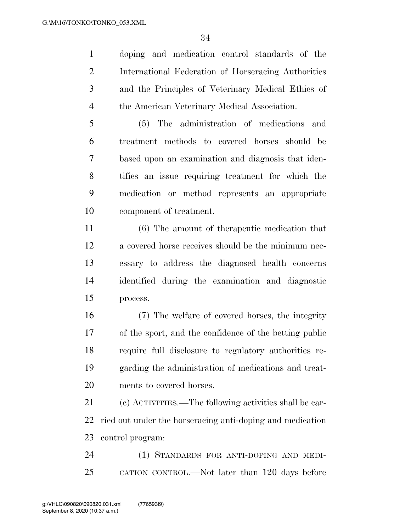doping and medication control standards of the International Federation of Horseracing Authorities and the Principles of Veterinary Medical Ethics of the American Veterinary Medical Association.

 (5) The administration of medications and treatment methods to covered horses should be based upon an examination and diagnosis that iden- tifies an issue requiring treatment for which the medication or method represents an appropriate component of treatment.

 (6) The amount of therapeutic medication that a covered horse receives should be the minimum nec- essary to address the diagnosed health concerns identified during the examination and diagnostic process.

 (7) The welfare of covered horses, the integrity of the sport, and the confidence of the betting public require full disclosure to regulatory authorities re- garding the administration of medications and treat-ments to covered horses.

 (c) ACTIVITIES.—The following activities shall be car- ried out under the horseracing anti-doping and medication control program:

 (1) STANDARDS FOR ANTI-DOPING AND MEDI-CATION CONTROL.—Not later than 120 days before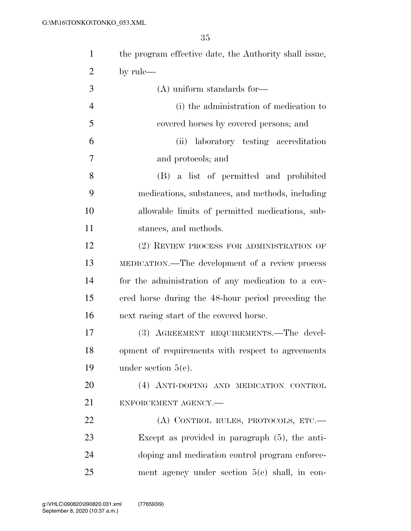| $\mathbf{1}$   | the program effective date, the Authority shall issue, |
|----------------|--------------------------------------------------------|
| $\overline{2}$ | by rule—                                               |
| 3              | $(A)$ uniform standards for-                           |
| $\overline{4}$ | (i) the administration of medication to                |
| 5              | covered horses by covered persons; and                 |
| 6              | laboratory testing accreditation<br>(ii)               |
| 7              | and protocols; and                                     |
| 8              | (B) a list of permitted and prohibited                 |
| 9              | medications, substances, and methods, including        |
| 10             | allowable limits of permitted medications, sub-        |
| 11             | stances, and methods.                                  |
| 12             | (2) REVIEW PROCESS FOR ADMINISTRATION OF               |
| 13             | MEDICATION.—The development of a review process        |
| 14             | for the administration of any medication to a cov-     |
| 15             | ered horse during the 48-hour period preceding the     |
| 16             | next racing start of the covered horse.                |
| 17             | (3) AGREEMENT REQUIREMENTS.—The devel-                 |
| 18             | opment of requirements with respect to agreements      |
| 19             | under section $5(e)$ .                                 |
| 20             | (4) ANTI-DOPING AND MEDICATION CONTROL                 |
| 21             | ENFORCEMENT AGENCY.-                                   |
| 22             | (A) CONTROL RULES, PROTOCOLS, ETC.-                    |
| 23             | Except as provided in paragraph $(5)$ , the anti-      |
| 24             | doping and medication control program enforce-         |
| 25             | ment agency under section $5(e)$ shall, in con-        |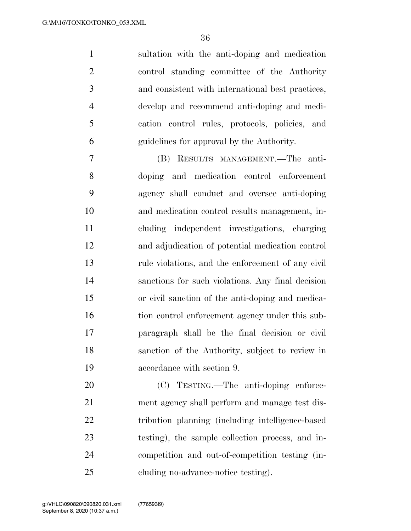sultation with the anti-doping and medication control standing committee of the Authority and consistent with international best practices, develop and recommend anti-doping and medi- cation control rules, protocols, policies, and guidelines for approval by the Authority.

 (B) RESULTS MANAGEMENT.—The anti- doping and medication control enforcement agency shall conduct and oversee anti-doping and medication control results management, in- cluding independent investigations, charging and adjudication of potential medication control rule violations, and the enforcement of any civil sanctions for such violations. Any final decision or civil sanction of the anti-doping and medica-16 tion control enforcement agency under this sub- paragraph shall be the final decision or civil sanction of the Authority, subject to review in accordance with section 9.

 (C) TESTING.—The anti-doping enforce- ment agency shall perform and manage test dis- tribution planning (including intelligence-based testing), the sample collection process, and in- competition and out-of-competition testing (in-cluding no-advance-notice testing).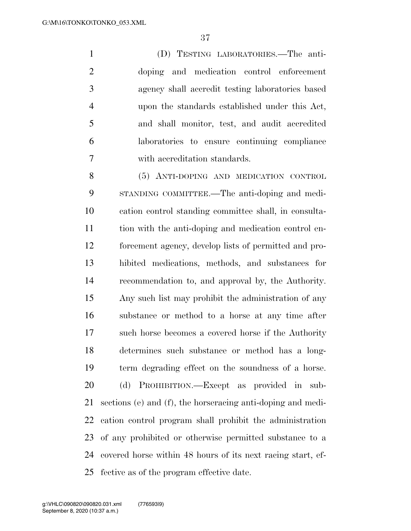(D) TESTING LABORATORIES.—The anti- doping and medication control enforcement agency shall accredit testing laboratories based upon the standards established under this Act, and shall monitor, test, and audit accredited laboratories to ensure continuing compliance with accreditation standards.

 (5) ANTI-DOPING AND MEDICATION CONTROL STANDING COMMITTEE.—The anti-doping and medi- cation control standing committee shall, in consulta- tion with the anti-doping and medication control en- forcement agency, develop lists of permitted and pro- hibited medications, methods, and substances for recommendation to, and approval by, the Authority. Any such list may prohibit the administration of any substance or method to a horse at any time after such horse becomes a covered horse if the Authority determines such substance or method has a long- term degrading effect on the soundness of a horse. (d) PROHIBITION.—Except as provided in sub- sections (e) and (f), the horseracing anti-doping and medi- cation control program shall prohibit the administration of any prohibited or otherwise permitted substance to a covered horse within 48 hours of its next racing start, ef-fective as of the program effective date.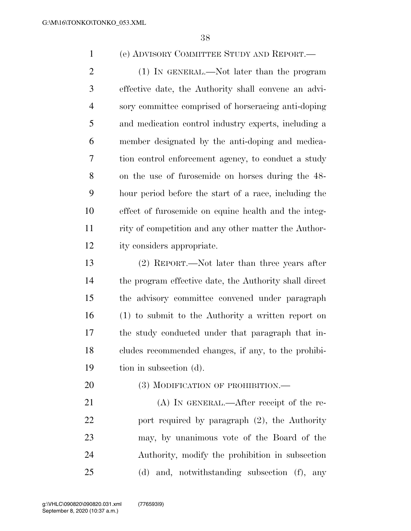(e) ADVISORY COMMITTEE STUDY AND REPORT.—

2 (1) IN GENERAL.—Not later than the program effective date, the Authority shall convene an advi- sory committee comprised of horseracing anti-doping and medication control industry experts, including a member designated by the anti-doping and medica- tion control enforcement agency, to conduct a study on the use of furosemide on horses during the 48- hour period before the start of a race, including the effect of furosemide on equine health and the integ- rity of competition and any other matter the Author-ity considers appropriate.

 (2) REPORT.—Not later than three years after the program effective date, the Authority shall direct the advisory committee convened under paragraph (1) to submit to the Authority a written report on the study conducted under that paragraph that in- cludes recommended changes, if any, to the prohibi-tion in subsection (d).

20 (3) MODIFICATION OF PROHIBITION.

21 (A) IN GENERAL.—After receipt of the re- port required by paragraph (2), the Authority may, by unanimous vote of the Board of the Authority, modify the prohibition in subsection (d) and, notwithstanding subsection (f), any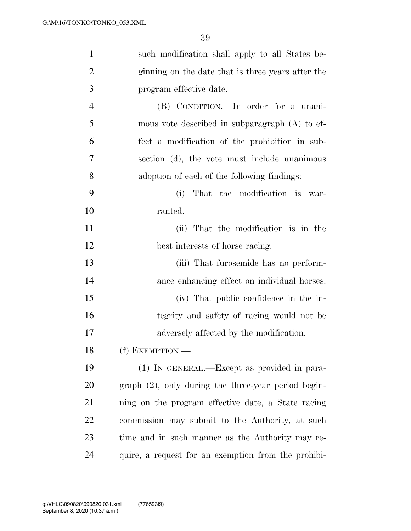| $\mathbf{1}$   | such modification shall apply to all States be-        |
|----------------|--------------------------------------------------------|
| $\overline{2}$ | ginning on the date that is three years after the      |
| 3              | program effective date.                                |
| $\overline{4}$ | (B) CONDITION.—In order for a unani-                   |
| 5              | mous vote described in subparagraph $(A)$ to ef-       |
| 6              | fect a modification of the prohibition in sub-         |
| 7              | section (d), the vote must include unanimous           |
| 8              | adoption of each of the following findings:            |
| 9              | (i)<br>That the modification is war-                   |
| 10             | ranted.                                                |
| 11             | (ii) That the modification is in the                   |
| 12             | best interests of horse racing.                        |
| 13             | (iii) That furosemide has no perform-                  |
| 14             | ance enhancing effect on individual horses.            |
| 15             | (iv) That public confidence in the in-                 |
| 16             | tegrity and safety of racing would not be              |
| 17             | adversely affected by the modification.                |
| 18             | (f) EXEMPTION.-                                        |
| 19             | (1) IN GENERAL.—Except as provided in para-            |
| 20             | $graph (2)$ , only during the three-year period begin- |
| 21             | ning on the program effective date, a State racing     |
| 22             | commission may submit to the Authority, at such        |
| 23             | time and in such manner as the Authority may re-       |
| 24             | quire, a request for an exemption from the prohibi-    |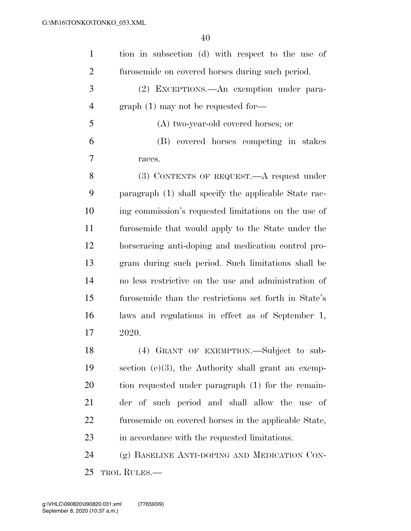| $\mathbf{1}$   | tion in subsection (d) with respect to the use of      |
|----------------|--------------------------------------------------------|
| $\overline{2}$ | furosemide on covered horses during such period.       |
| 3              | (2) EXCEPTIONS.—An exemption under para-               |
| $\overline{4}$ | $graph(1)$ may not be requested for-                   |
| 5              | (A) two-year-old covered horses; or                    |
| 6              | (B) covered horses competing in stakes                 |
| 7              | races.                                                 |
| 8              | $(3)$ CONTENTS OF REQUEST.—A request under             |
| 9              | paragraph (1) shall specify the applicable State rac-  |
| 10             | ing commission's requested limitations on the use of   |
| 11             | furosemide that would apply to the State under the     |
| 12             | horseracing anti-doping and medication control pro-    |
| 13             | gram during such period. Such limitations shall be     |
| 14             | no less restrictive on the use and administration of   |
| 15             | furosemide than the restrictions set forth in State's  |
| 16             | laws and regulations in effect as of September 1,      |
| 17             | 2020.                                                  |
| 18             | (4) GRANT OF EXEMPTION. Subject to sub-                |
| 19             | section $(e)(3)$ , the Authority shall grant an exemp- |
| 20             | tion requested under paragraph (1) for the remain-     |
| 21             | der of such period and shall allow the use of          |
| 22             | furosemide on covered horses in the applicable State,  |
| 23             | in accordance with the requested limitations.          |
| 24             | (g) BASELINE ANTI-DOPING AND MEDICATION CON-           |
| 25             | <b>TROL RULES.—</b>                                    |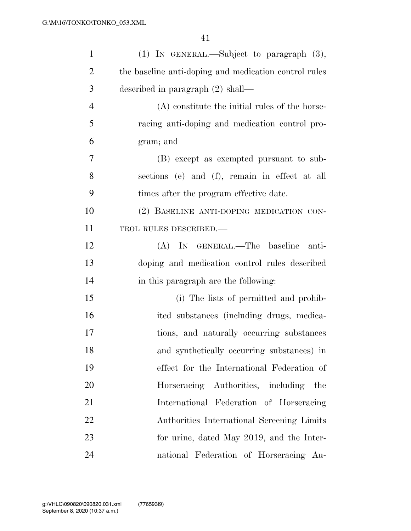| $\mathbf{1}$   | (1) IN GENERAL.—Subject to paragraph (3),             |
|----------------|-------------------------------------------------------|
| $\overline{2}$ | the baseline anti-doping and medication control rules |
| 3              | described in paragraph $(2)$ shall—                   |
| $\overline{4}$ | (A) constitute the initial rules of the horse-        |
| 5              | racing anti-doping and medication control pro-        |
| 6              | gram; and                                             |
| 7              | (B) except as exempted pursuant to sub-               |
| 8              | sections (e) and (f), remain in effect at all         |
| 9              | times after the program effective date.               |
| 10             | (2) BASELINE ANTI-DOPING MEDICATION CON-              |
| 11             | TROL RULES DESCRIBED.-                                |
| 12             | (A) IN GENERAL.—The baseline<br>anti-                 |
| 13             | doping and medication control rules described         |
| 14             | in this paragraph are the following:                  |
| 15             | (i) The lists of permitted and prohib-                |
| 16             | ited substances (including drugs, medica-             |
| 17             | tions, and naturally occurring substances             |
| 18             | and synthetically occurring substances) in            |
| 19             | effect for the International Federation of            |
| 20             | Horseracing Authorities, including the                |
| 21             | International Federation of Horseracing               |
| 22             | Authorities International Screening Limits            |
| 23             | for urine, dated May 2019, and the Inter-             |
| 24             | national Federation of Horseracing Au-                |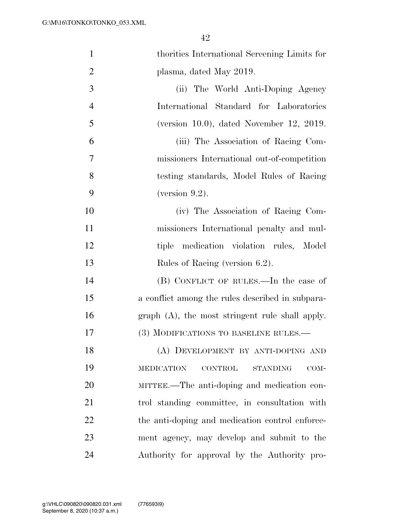| $\mathbf{1}$   | thorities International Screening Limits for                  |
|----------------|---------------------------------------------------------------|
| $\overline{2}$ | plasma, dated May 2019.                                       |
| 3              | (ii) The World Anti-Doping Agency                             |
| $\overline{4}$ | International Standard for Laboratories                       |
| 5              | (version $10.0$ ), dated November 12, 2019.                   |
| 6              | (iii) The Association of Racing Com-                          |
| 7              | missioners International out-of-competition                   |
| 8              | testing standards, Model Rules of Racing                      |
| 9              | (version $9.2$ ).                                             |
| 10             | (iv) The Association of Racing Com-                           |
| 11             | missioners International penalty and mul-                     |
| 12             | tiple medication violation rules, Model                       |
| 13             | Rules of Racing (version 6.2).                                |
| 14             | (B) CONFLICT OF RULES.—In the case of                         |
| 15             | a conflict among the rules described in subpara-              |
| 16             | graph $(A)$ , the most stringent rule shall apply.            |
| 17             | (3) MODIFICATIONS TO BASELINE RULES.—                         |
| 18             | (A) DEVELOPMENT BY ANTI-DOPING AND                            |
| 19             | $\rm CONTROL$<br><b>MEDICATION</b><br><b>STANDING</b><br>COM- |
| 20             | MITTEE.—The anti-doping and medication con-                   |
| 21             | trol standing committee, in consultation with                 |
| 22             | the anti-doping and medication control enforce-               |
| 23             | ment agency, may develop and submit to the                    |
| 24             | Authority for approval by the Authority pro-                  |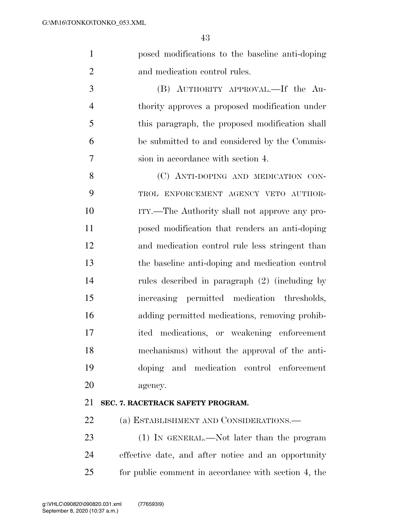posed modifications to the baseline anti-doping and medication control rules.

 (B) AUTHORITY APPROVAL.—If the Au- thority approves a proposed modification under this paragraph, the proposed modification shall be submitted to and considered by the Commis-sion in accordance with section 4.

8 (C) ANTI-DOPING AND MEDICATION CON- TROL ENFORCEMENT AGENCY VETO AUTHOR- ITY.—The Authority shall not approve any pro- posed modification that renders an anti-doping and medication control rule less stringent than the baseline anti-doping and medication control rules described in paragraph (2) (including by increasing permitted medication thresholds, adding permitted medications, removing prohib- ited medications, or weakening enforcement mechanisms) without the approval of the anti- doping and medication control enforcement agency.

### **SEC. 7. RACETRACK SAFETY PROGRAM.**

22 (a) ESTABLISHMENT AND CONSIDERATIONS.—

23 (1) IN GENERAL.—Not later than the program effective date, and after notice and an opportunity for public comment in accordance with section 4, the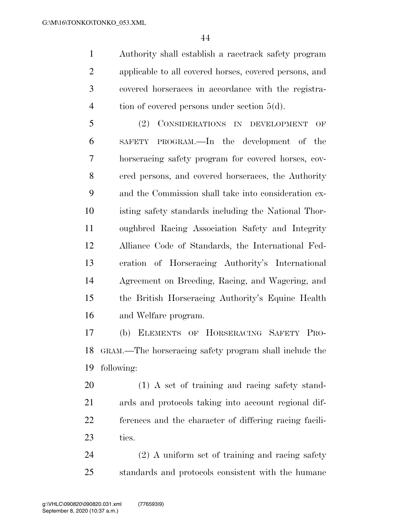Authority shall establish a racetrack safety program applicable to all covered horses, covered persons, and covered horseraces in accordance with the registra-4 tion of covered persons under section 5(d).

 (2) CONSIDERATIONS IN DEVELOPMENT OF SAFETY PROGRAM.—In the development of the horseracing safety program for covered horses, cov- ered persons, and covered horseraces, the Authority and the Commission shall take into consideration ex- isting safety standards including the National Thor- oughbred Racing Association Safety and Integrity Alliance Code of Standards, the International Fed- eration of Horseracing Authority's International Agreement on Breeding, Racing, and Wagering, and the British Horseracing Authority's Equine Health and Welfare program.

 (b) ELEMENTS OF HORSERACING SAFETY PRO- GRAM.—The horseracing safety program shall include the following:

 (1) A set of training and racing safety stand- ards and protocols taking into account regional dif- ferences and the character of differing racing facili-ties.

 (2) A uniform set of training and racing safety standards and protocols consistent with the humane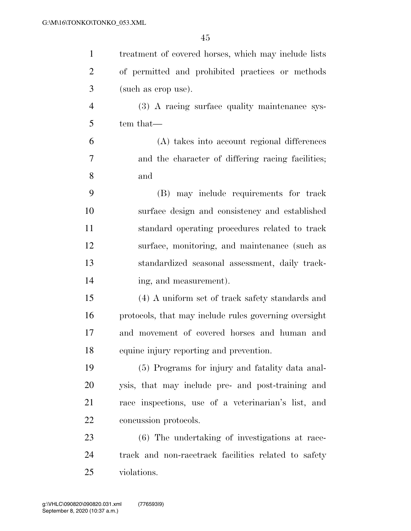| $\mathbf{1}$   | treatment of covered horses, which may include lists  |
|----------------|-------------------------------------------------------|
| $\overline{2}$ | of permitted and prohibited practices or methods      |
| 3              | (such as crop use).                                   |
| $\overline{4}$ | (3) A racing surface quality maintenance sys-         |
| 5              | tem that—                                             |
| 6              | (A) takes into account regional differences           |
| 7              | and the character of differing racing facilities;     |
| 8              | and                                                   |
| 9              | (B) may include requirements for track                |
| 10             | surface design and consistency and established        |
| 11             | standard operating procedures related to track        |
| 12             | surface, monitoring, and maintenance (such as         |
| 13             | standardized seasonal assessment, daily track-        |
| 14             | ing, and measurement).                                |
| 15             | (4) A uniform set of track safety standards and       |
| 16             | protocols, that may include rules governing oversight |
| 17             | and movement of covered horses and human and          |
| 18             | equine injury reporting and prevention.               |
| 19             | (5) Programs for injury and fatality data anal-       |
| 20             | ysis, that may include pre- and post-training and     |
| 21             | race inspections, use of a veterinarian's list, and   |
| 22             | concussion protocols.                                 |
| 23             | (6) The undertaking of investigations at race-        |
| 24             | track and non-racetrack facilities related to safety  |
| 25             | violations.                                           |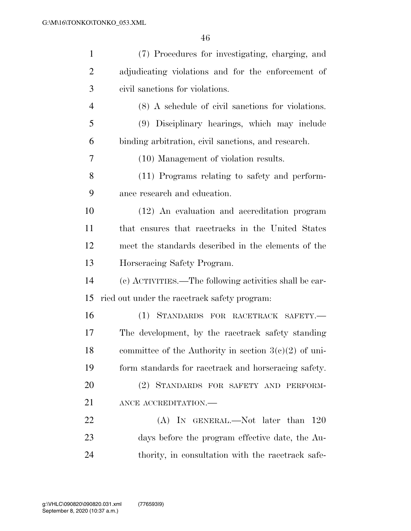| $\mathbf{1}$   | (7) Procedures for investigating, charging, and         |
|----------------|---------------------------------------------------------|
| $\overline{2}$ | adjudicating violations and for the enforcement of      |
| 3              | civil sanctions for violations.                         |
| $\overline{4}$ | (8) A schedule of civil sanctions for violations.       |
| 5              | (9) Disciplinary hearings, which may include            |
| 6              | binding arbitration, civil sanctions, and research.     |
| 7              | (10) Management of violation results.                   |
| 8              | (11) Programs relating to safety and perform-           |
| 9              | ance research and education.                            |
| 10             | (12) An evaluation and accreditation program            |
| 11             | that ensures that racetracks in the United States       |
| 12             | meet the standards described in the elements of the     |
| 13             | Horseracing Safety Program.                             |
| 14             | (c) ACTIVITIES.—The following activities shall be car-  |
| 15             |                                                         |
|                | ried out under the racetrack safety program:            |
| 16             | (1) STANDARDS FOR RACETRACK SAFETY.-                    |
| 17             | The development, by the racetrack safety standing       |
| 18             | committee of the Authority in section $3(e)(2)$ of uni- |
| 19             | form standards for racetrack and horseracing safety.    |
| 20             | (2) STANDARDS FOR SAFETY AND PERFORM-                   |
| 21             | ANCE ACCREDITATION.-                                    |
| 22             | (A) IN GENERAL.—Not later than 120                      |
| 23             | days before the program effective date, the Au-         |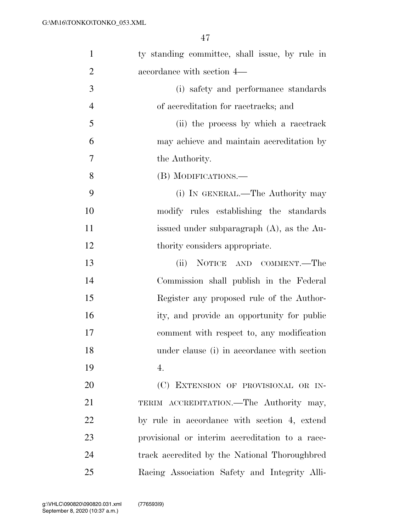| $\mathbf{1}$   | ty standing committee, shall issue, by rule in  |
|----------------|-------------------------------------------------|
| $\overline{2}$ | accordance with section 4—                      |
| 3              | (i) safety and performance standards            |
| $\overline{4}$ | of accreditation for racetracks; and            |
| 5              | (ii) the process by which a racetrack           |
| 6              | may achieve and maintain accreditation by       |
| 7              | the Authority.                                  |
| 8              | (B) MODIFICATIONS.-                             |
| 9              | (i) IN GENERAL.—The Authority may               |
| 10             | modify rules establishing the standards         |
| 11             | issued under subparagraph (A), as the Au-       |
| 12             | thority considers appropriate.                  |
| 13             | (ii)<br>NOTICE AND COMMENT.—The                 |
| 14             | Commission shall publish in the Federal         |
| 15             | Register any proposed rule of the Author-       |
| 16             | ity, and provide an opportunity for public      |
| 17             | comment with respect to, any modification       |
| 18             | under clause (i) in accordance with section     |
| 19             | 4.                                              |
| 20             | (C) EXTENSION OF PROVISIONAL OR IN-             |
| 21             | TERIM ACCREDITATION.—The Authority may,         |
| 22             | by rule in accordance with section 4, extend    |
| 23             | provisional or interim accreditation to a race- |
| 24             | track accredited by the National Thoroughbred   |
| 25             | Racing Association Safety and Integrity Alli-   |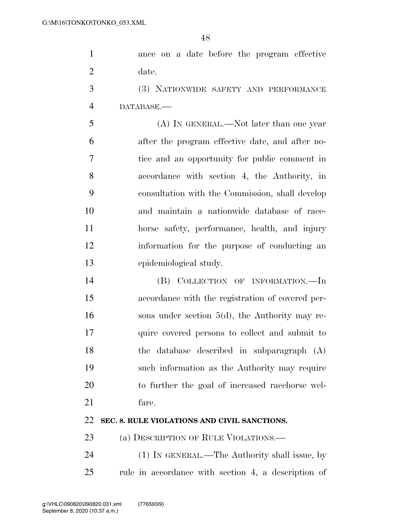ance on a date before the program effective date.

 (3) NATIONWIDE SAFETY AND PERFORMANCE DATABASE.—

 (A) IN GENERAL.—Not later than one year after the program effective date, and after no- tice and an opportunity for public comment in accordance with section 4, the Authority, in consultation with the Commission, shall develop and maintain a nationwide database of race- horse safety, performance, health, and injury information for the purpose of conducting an epidemiological study.

 (B) COLLECTION OF INFORMATION.—In accordance with the registration of covered per- sons under section 5(d), the Authority may re- quire covered persons to collect and submit to the database described in subparagraph (A) such information as the Authority may require to further the goal of increased racehorse wel-fare.

### **SEC. 8. RULE VIOLATIONS AND CIVIL SANCTIONS.**

23 (a) DESCRIPTION OF RULE VIOLATIONS.—

 (1) IN GENERAL.—The Authority shall issue, by rule in accordance with section 4, a description of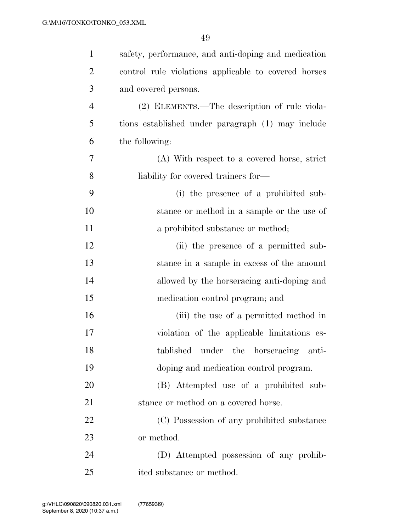| $\mathbf{1}$ | safety, performance, and anti-doping and medication  |
|--------------|------------------------------------------------------|
| 2            | control rule violations applicable to covered horses |
| 3            | and covered persons.                                 |
| 4            | (2) ELEMENTS.—The description of rule viola-         |
| 5            | tions established under paragraph (1) may include    |
| 6            | the following:                                       |
| 7            | (A) With respect to a covered horse, strict          |
| 8            | liability for covered trainers for—                  |
| 9            | (i) the presence of a prohibited sub-                |
| 10           | stance or method in a sample or the use of           |
| 11           | a prohibited substance or method;                    |
| 12           | (ii) the presence of a permitted sub-                |
| 13           | stance in a sample in excess of the amount           |
| 14           | allowed by the horseracing anti-doping and           |
| 15           | medication control program; and                      |
| 16           | (iii) the use of a permitted method in               |
| 17           | violation of the applicable limitations es-          |
| 18           | tablished<br>under the horseracing anti-             |
| 19           | doping and medication control program.               |
| 20           | (B) Attempted use of a prohibited sub-               |
| 21           | stance or method on a covered horse.                 |
| 22           | (C) Possession of any prohibited substance           |
| 23           | or method.                                           |
| 24           | (D) Attempted possession of any prohib-              |
| 25           | ited substance or method.                            |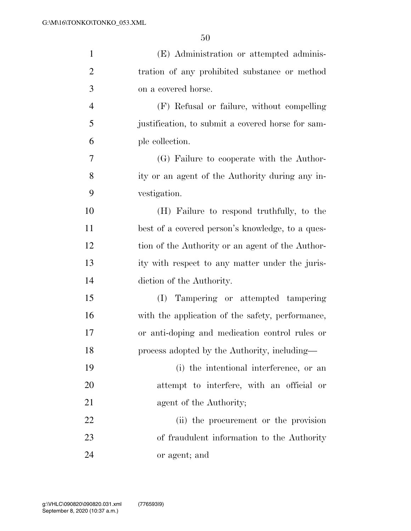| $\mathbf{1}$   | (E) Administration or attempted adminis-          |
|----------------|---------------------------------------------------|
| $\overline{2}$ | tration of any prohibited substance or method     |
| 3              | on a covered horse.                               |
| $\overline{4}$ | (F) Refusal or failure, without compelling        |
| 5              | justification, to submit a covered horse for sam- |
| 6              | ple collection.                                   |
| 7              | (G) Failure to cooperate with the Author-         |
| 8              | ity or an agent of the Authority during any in-   |
| 9              | vestigation.                                      |
| 10             | (H) Failure to respond truthfully, to the         |
| 11             | best of a covered person's knowledge, to a ques-  |
| 12             | tion of the Authority or an agent of the Author-  |
| 13             | ity with respect to any matter under the juris-   |
| 14             | diction of the Authority.                         |
| 15             | Tampering or attempted tampering<br>(I)           |
| 16             | with the application of the safety, performance,  |
| 17             | or anti-doping and medication control rules or    |
| 18             | process adopted by the Authority, including—      |
| 19             | (i) the intentional interference, or an           |
| 20             | attempt to interfere, with an official or         |
| 21             | agent of the Authority;                           |
| 22             | (ii) the procurement or the provision             |
| 23             | of fraudulent information to the Authority        |
| 24             | or agent; and                                     |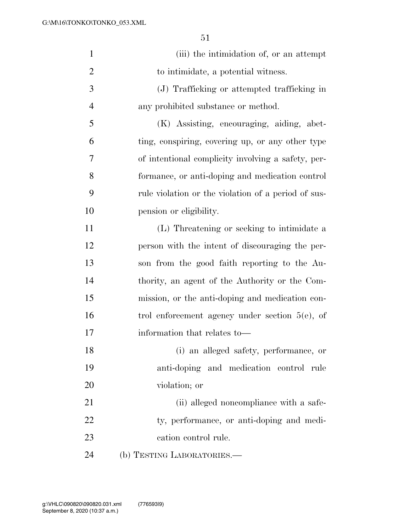| $\mathbf{1}$   | (iii) the intimidation of, or an attempt            |
|----------------|-----------------------------------------------------|
| $\overline{2}$ | to intimidate, a potential witness.                 |
| 3              | (J) Trafficking or attempted trafficking in         |
| $\overline{4}$ | any prohibited substance or method.                 |
| 5              | (K) Assisting, encouraging, aiding, abet-           |
| 6              | ting, conspiring, covering up, or any other type    |
| 7              | of intentional complicity involving a safety, per-  |
| 8              | formance, or anti-doping and medication control     |
| 9              | rule violation or the violation of a period of sus- |
| 10             | pension or eligibility.                             |
| 11             | (L) Threatening or seeking to intimidate a          |
| 12             | person with the intent of discouraging the per-     |
| 13             | son from the good faith reporting to the Au-        |
| 14             | thority, an agent of the Authority or the Com-      |
| 15             | mission, or the anti-doping and medication con-     |
| 16             | trol enforcement agency under section $5(e)$ , of   |
| 17             | information that relates to-                        |
| 18             | (i) an alleged safety, performance, or              |
| 19             | anti-doping and medication control rule             |
| 20             | violation; or                                       |
| 21             | (ii) alleged noncompliance with a safe-             |
| 22             | ty, performance, or anti-doping and medi-           |
| 23             | cation control rule.                                |
| 24             | (b) TESTING LABORATORIES.-                          |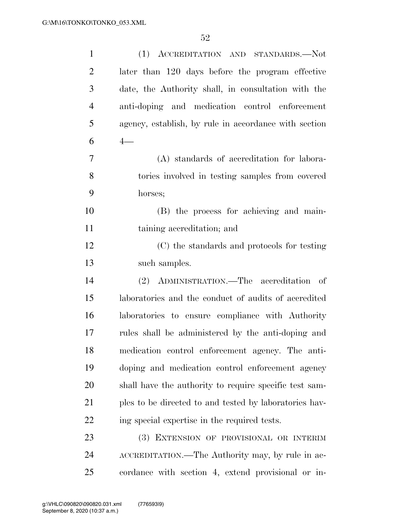| $\mathbf{1}$   | (1) ACCREDITATION AND STANDARDS.-Not                   |
|----------------|--------------------------------------------------------|
| $\overline{2}$ | later than 120 days before the program effective       |
| 3              | date, the Authority shall, in consultation with the    |
| $\overline{4}$ | anti-doping and medication control enforcement         |
| 5              | agency, establish, by rule in accordance with section  |
| 6              | $4-$                                                   |
| 7              | (A) standards of accreditation for labora-             |
| 8              | tories involved in testing samples from covered        |
| 9              | horses;                                                |
| 10             | (B) the process for achieving and main-                |
| 11             | taining accreditation; and                             |
| 12             | (C) the standards and protocols for testing            |
| 13             | such samples.                                          |
| 14             | (2) ADMINISTRATION.—The accreditation of               |
| 15             | laboratories and the conduct of audits of accredited   |
| 16             | laboratories to ensure compliance with Authority       |
| 17             | rules shall be administered by the anti-doping and     |
| 18             | medication control enforcement agency. The anti-       |
| 19             | doping and medication control enforcement agency       |
| 20             | shall have the authority to require specific test sam- |
| 21             | ples to be directed to and tested by laboratories hav- |
| 22             | ing special expertise in the required tests.           |
| 23             | (3) EXTENSION OF PROVISIONAL OR INTERIM                |
| 24             | ACCREDITATION.—The Authority may, by rule in ac-       |
| 25             | cordance with section 4, extend provisional or in-     |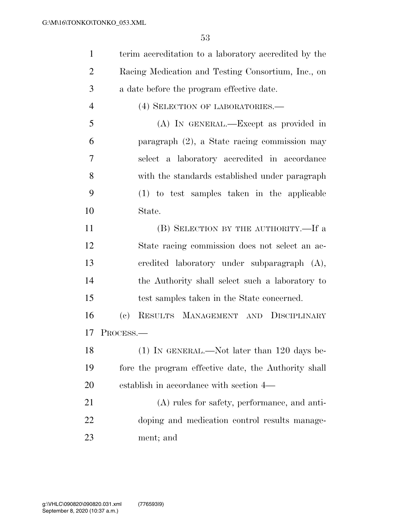| $\mathbf{1}$   | terim accreditation to a laboratory accredited by the             |
|----------------|-------------------------------------------------------------------|
| $\overline{2}$ | Racing Medication and Testing Consortium, Inc., on                |
| 3              | a date before the program effective date.                         |
| $\overline{4}$ | (4) SELECTION OF LABORATORIES.—                                   |
| 5              | (A) IN GENERAL.—Except as provided in                             |
| 6              | paragraph $(2)$ , a State racing commission may                   |
| 7              | select a laboratory accredited in accordance                      |
| 8              | with the standards established under paragraph                    |
| 9              | (1) to test samples taken in the applicable                       |
| 10             | State.                                                            |
| 11             | (B) SELECTION BY THE AUTHORITY.—If a                              |
| 12             | State racing commission does not select an ac-                    |
| 13             | credited laboratory under subparagraph (A),                       |
| 14             | the Authority shall select such a laboratory to                   |
| 15             | test samples taken in the State concerned.                        |
| 16             | RESULTS MANAGEMENT AND DISCIPLINARY<br>$\left( \mathrm{e}\right)$ |
| 17             | PROCESS.                                                          |
| 18             | (1) IN GENERAL.—Not later than 120 days be-                       |
| 19             | fore the program effective date, the Authority shall              |
| 20             | establish in accordance with section 4—                           |
| 21             | (A) rules for safety, performance, and anti-                      |
| 22             | doping and medication control results manage-                     |
| 23             | ment; and                                                         |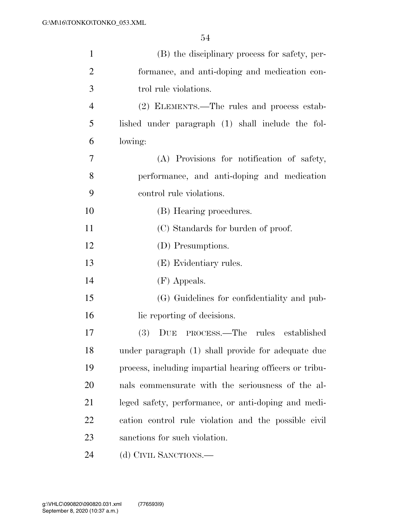| $\mathbf{1}$   | (B) the disciplinary process for safety, per-           |
|----------------|---------------------------------------------------------|
| $\overline{2}$ | formance, and anti-doping and medication con-           |
| 3              | trol rule violations.                                   |
| $\overline{4}$ | (2) ELEMENTS.—The rules and process estab-              |
| 5              | lished under paragraph (1) shall include the fol-       |
| 6              | lowing:                                                 |
| 7              | (A) Provisions for notification of safety,              |
| 8              | performance, and anti-doping and medication             |
| 9              | control rule violations.                                |
| 10             | (B) Hearing procedures.                                 |
| 11             | (C) Standards for burden of proof.                      |
| 12             | (D) Presumptions.                                       |
| 13             | (E) Evidentiary rules.                                  |
| 14             | (F) Appeals.                                            |
| 15             | (G) Guidelines for confidentiality and pub-             |
| 16             | lic reporting of decisions.                             |
| 17             | DUE PROCESS.—The rules established<br><b>(3)</b>        |
| 18             | under paragraph (1) shall provide for adequate due      |
| 19             | process, including impartial hearing officers or tribu- |
| 20             | nals commensurate with the seriousness of the al-       |
| 21             | leged safety, performance, or anti-doping and medi-     |
| 22             | cation control rule violation and the possible civil    |
| 23             | sanctions for such violation.                           |
| 24             | (d) CIVIL SANCTIONS.—                                   |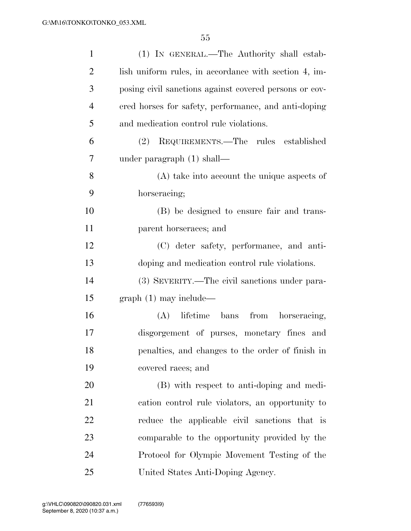| $\mathbf{1}$   | (1) IN GENERAL.—The Authority shall estab-             |
|----------------|--------------------------------------------------------|
| $\overline{2}$ | lish uniform rules, in accordance with section 4, im-  |
| 3              | posing civil sanctions against covered persons or cov- |
| $\overline{4}$ | ered horses for safety, performance, and anti-doping   |
| 5              | and medication control rule violations.                |
| 6              | (2) REQUIREMENTS.—The rules established                |
| 7              | under paragraph $(1)$ shall—                           |
| 8              | $(A)$ take into account the unique aspects of          |
| 9              | horseracing;                                           |
| 10             | (B) be designed to ensure fair and trans-              |
| 11             | parent horseraces; and                                 |
| 12             | (C) deter safety, performance, and anti-               |
| 13             | doping and medication control rule violations.         |
| 14             | (3) SEVERITY.—The civil sanctions under para-          |
| 15             | $graph(1)$ may include—                                |
| 16             | (A) lifetime bans from horseracing,                    |
| 17             | disgorgement of purses, monetary fines and             |
| 18             | penalties, and changes to the order of finish in       |
| 19             | covered races; and                                     |
| 20             | (B) with respect to anti-doping and medi-              |
| 21             | cation control rule violators, an opportunity to       |
| 22             | reduce the applicable civil sanctions that is          |
| 23             | comparable to the opportunity provided by the          |
| 24             | Protocol for Olympic Movement Testing of the           |
| 25             | United States Anti-Doping Agency.                      |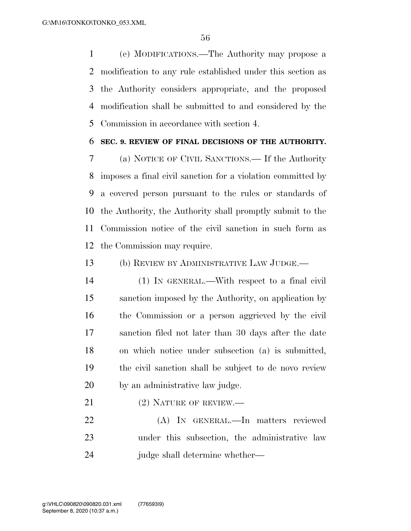(e) MODIFICATIONS.—The Authority may propose a modification to any rule established under this section as the Authority considers appropriate, and the proposed modification shall be submitted to and considered by the Commission in accordance with section 4.

#### **SEC. 9. REVIEW OF FINAL DECISIONS OF THE AUTHORITY.**

 (a) NOTICE OF CIVIL SANCTIONS.— If the Authority imposes a final civil sanction for a violation committed by a covered person pursuant to the rules or standards of the Authority, the Authority shall promptly submit to the Commission notice of the civil sanction in such form as the Commission may require.

(b) REVIEW BY ADMINISTRATIVE LAW JUDGE.—

- (1) IN GENERAL.—With respect to a final civil sanction imposed by the Authority, on application by the Commission or a person aggrieved by the civil sanction filed not later than 30 days after the date on which notice under subsection (a) is submitted, the civil sanction shall be subject to de novo review by an administrative law judge.
- 21 (2) NATURE OF REVIEW.—

 (A) IN GENERAL.—In matters reviewed under this subsection, the administrative law judge shall determine whether—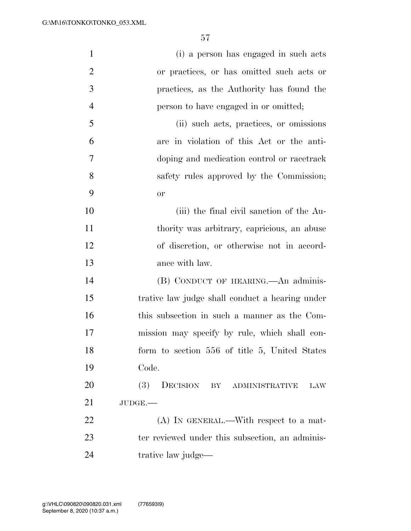| $\mathbf{1}$   | (i) a person has engaged in such acts           |
|----------------|-------------------------------------------------|
| $\overline{2}$ | or practices, or has omitted such acts or       |
| 3              | practices, as the Authority has found the       |
| $\overline{4}$ | person to have engaged in or omitted;           |
| 5              | (ii) such acts, practices, or omissions         |
| 6              | are in violation of this Act or the anti-       |
| 7              | doping and medication control or racetrack      |
| 8              | safety rules approved by the Commission;        |
| 9              | <b>or</b>                                       |
| 10             | (iii) the final civil sanction of the Au-       |
| 11             | thority was arbitrary, capricious, an abuse     |
| 12             | of discretion, or otherwise not in accord-      |
| 13             | ance with law.                                  |
| 14             | (B) CONDUCT OF HEARING.—An adminis-             |
| 15             | trative law judge shall conduct a hearing under |
| 16             | this subsection in such a manner as the Com-    |
| 17             | mission may specify by rule, which shall con-   |
| 18             | form to section 556 of title 5, United States   |
| 19             | Code.                                           |
| 20             | (3)<br>DECISION BY ADMINISTRATIVE<br>LAW        |
| 21             | $JUDGE$ .                                       |
| 22             | (A) IN GENERAL.—With respect to a mat-          |
| 23             | ter reviewed under this subsection, an adminis- |
| 24             | trative law judge—                              |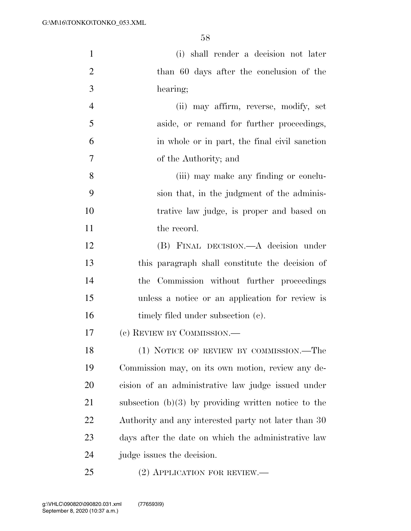| $\mathbf{1}$   | (i) shall render a decision not later                  |
|----------------|--------------------------------------------------------|
| $\overline{2}$ | than 60 days after the conclusion of the               |
| 3              | hearing;                                               |
| $\overline{4}$ | (ii) may affirm, reverse, modify, set                  |
| 5              | aside, or remand for further proceedings,              |
| 6              | in whole or in part, the final civil sanction          |
| 7              | of the Authority; and                                  |
| 8              | (iii) may make any finding or conclu-                  |
| 9              | sion that, in the judgment of the adminis-             |
| 10             | trative law judge, is proper and based on              |
| 11             | the record.                                            |
| 12             | (B) FINAL DECISION.—A decision under                   |
| 13             | this paragraph shall constitute the decision of        |
| 14             | the Commission without further proceedings             |
| 15             | unless a notice or an application for review is        |
| 16             | timely filed under subsection (c).                     |
| 17             | (c) REVIEW BY COMMISSION.—                             |
| 18             | (1) NOTICE OF REVIEW BY COMMISSION.—The                |
| 19             | Commission may, on its own motion, review any de-      |
| 20             | cision of an administrative law judge issued under     |
| 21             | subsection $(b)(3)$ by providing written notice to the |
| 22             | Authority and any interested party not later than 30   |
| 23             | days after the date on which the administrative law    |
| 24             | judge issues the decision.                             |
| 25             | $(2)$ APPLICATION FOR REVIEW.—                         |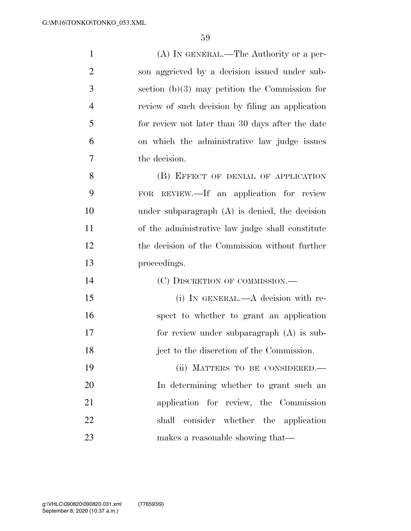| $\mathbf{1}$   | (A) IN GENERAL.—The Authority or a per-            |
|----------------|----------------------------------------------------|
| $\overline{2}$ | son aggrieved by a decision issued under sub-      |
| 3              | section $(b)(3)$ may petition the Commission for   |
| $\overline{4}$ | review of such decision by filing an application   |
| 5              | for review not later than 30 days after the date   |
| 6              | on which the administrative law judge issues       |
| 7              | the decision.                                      |
| 8              | (B) EFFECT OF DENIAL OF APPLICATION                |
| 9              | REVIEW.—If an application for review<br><b>FOR</b> |
| 10             | under subparagraph $(A)$ is denied, the decision   |
| 11             | of the administrative law judge shall constitute   |
| 12             | the decision of the Commission without further     |
| 13             | proceedings.                                       |
| 14             | (C) DISCRETION OF COMMISSION.—                     |
| 15             | (i) IN GENERAL.—A decision with re-                |
| 16             | spect to whether to grant an application           |
| 17             | for review under subparagraph (A) is sub-          |
| 18             | ject to the discretion of the Commission.          |
| 19             | (ii) MATTERS TO BE CONSIDERED.-                    |
| 20             | In determining whether to grant such an            |
| 21             | application for review, the Commission             |
| 22             | shall consider whether the application             |
| 23             | makes a reasonable showing that—                   |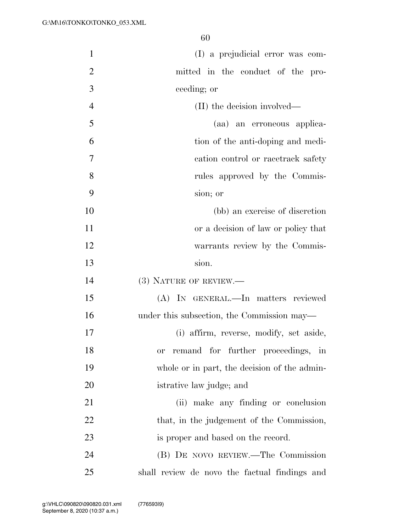| $\mathbf{1}$   | (I) a prejudicial error was com-                |
|----------------|-------------------------------------------------|
| $\overline{2}$ | mitted in the conduct of the pro-               |
| 3              | ceeding; or                                     |
| $\overline{4}$ | (II) the decision involved—                     |
| 5              | (aa) an erroneous applica-                      |
| 6              | tion of the anti-doping and medi-               |
| 7              | cation control or racetrack safety              |
| 8              | rules approved by the Commis-                   |
| 9              | sion; or                                        |
| 10             | (bb) an exercise of discretion                  |
| 11             | or a decision of law or policy that             |
| 12             | warrants review by the Commis-                  |
| 13             | sion.                                           |
| 14             | (3) NATURE OF REVIEW.—                          |
| 15             | (A) IN GENERAL.—In matters reviewed             |
| 16             | under this subsection, the Commission may—      |
| 17             | (i) affirm, reverse, modify, set aside,         |
| 18             | remand for further proceedings, in<br><b>or</b> |
| 19             | whole or in part, the decision of the admin-    |
| 20             | istrative law judge; and                        |
| 21             | (ii) make any finding or conclusion             |
| 22             | that, in the judgement of the Commission,       |
| 23             | is proper and based on the record.              |
| 24             | (B) DE NOVO REVIEW.—The Commission              |
| 25             | shall review de novo the factual findings and   |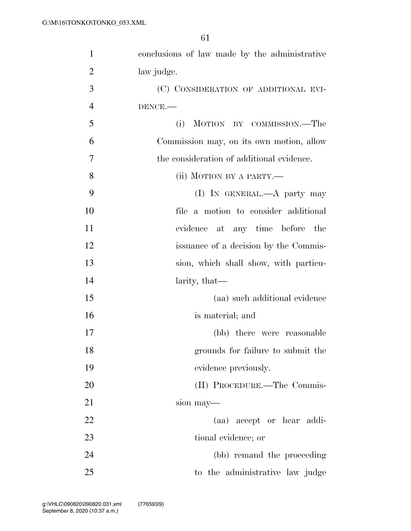| $\mathbf{1}$   | conclusions of law made by the administrative |
|----------------|-----------------------------------------------|
| $\overline{2}$ | law judge.                                    |
| 3              | (C) CONSIDERATION OF ADDITIONAL EVI-          |
| $\overline{4}$ | DENCE.-                                       |
| 5              | (i)<br>MOTION BY COMMISSION.—The              |
| 6              | Commission may, on its own motion, allow      |
| 7              | the consideration of additional evidence.     |
| 8              | (ii) MOTION BY A PARTY.—                      |
| 9              | (I) IN GENERAL.—A party may                   |
| 10             | file a motion to consider additional          |
| 11             | evidence at any time before the               |
| 12             | issuance of a decision by the Commis-         |
| 13             | sion, which shall show, with particu-         |
| 14             | larity, that—                                 |
| 15             | (aa) such additional evidence                 |
| 16             | is material; and                              |
| 17             | (bb) there were reasonable                    |
| 18             | grounds for failure to submit the             |
| 19             | evidence previously.                          |
| 20             | (II) PROCEDURE.—The Commis-                   |
| 21             | sion may—                                     |
| 22             | (aa) accept or hear addi-                     |
| 23             | tional evidence; or                           |
| 24             | (bb) remand the proceeding                    |
| 25             | to the administrative law judge               |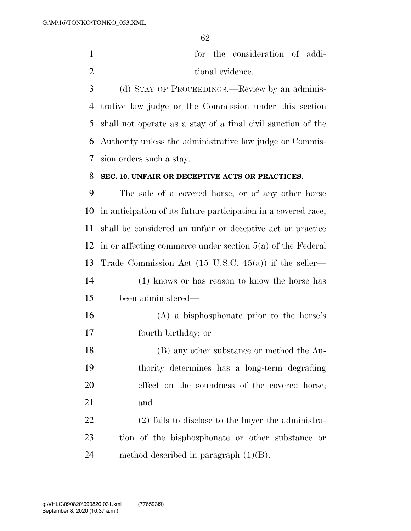|                  |  | for the consideration of addi- |  |
|------------------|--|--------------------------------|--|
| tional evidence. |  |                                |  |

 (d) STAY OF PROCEEDINGS.—Review by an adminis- trative law judge or the Commission under this section shall not operate as a stay of a final civil sanction of the Authority unless the administrative law judge or Commis-sion orders such a stay.

#### **SEC. 10. UNFAIR OR DECEPTIVE ACTS OR PRACTICES.**

 The sale of a covered horse, or of any other horse in anticipation of its future participation in a covered race, shall be considered an unfair or deceptive act or practice in or affecting commerce under section 5(a) of the Federal Trade Commission Act (15 U.S.C. 45(a)) if the seller— (1) knows or has reason to know the horse has been administered— (A) a bisphosphonate prior to the horse's fourth birthday; or (B) any other substance or method the Au- thority determines has a long-term degrading effect on the soundness of the covered horse; and (2) fails to disclose to the buyer the administra-tion of the bisphosphonate or other substance or

24 method described in paragraph  $(1)(B)$ .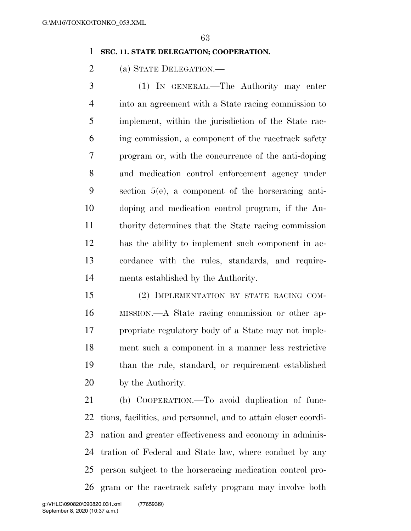#### **SEC. 11. STATE DELEGATION; COOPERATION.**

(a) STATE DELEGATION.—

 (1) IN GENERAL.—The Authority may enter into an agreement with a State racing commission to implement, within the jurisdiction of the State rac- ing commission, a component of the racetrack safety program or, with the concurrence of the anti-doping and medication control enforcement agency under section 5(e), a component of the horseracing anti- doping and medication control program, if the Au- thority determines that the State racing commission has the ability to implement such component in ac- cordance with the rules, standards, and require-ments established by the Authority.

 (2) IMPLEMENTATION BY STATE RACING COM- MISSION.—A State racing commission or other ap- propriate regulatory body of a State may not imple- ment such a component in a manner less restrictive than the rule, standard, or requirement established by the Authority.

 (b) COOPERATION.—To avoid duplication of func- tions, facilities, and personnel, and to attain closer coordi- nation and greater effectiveness and economy in adminis- tration of Federal and State law, where conduct by any person subject to the horseracing medication control pro-gram or the racetrack safety program may involve both